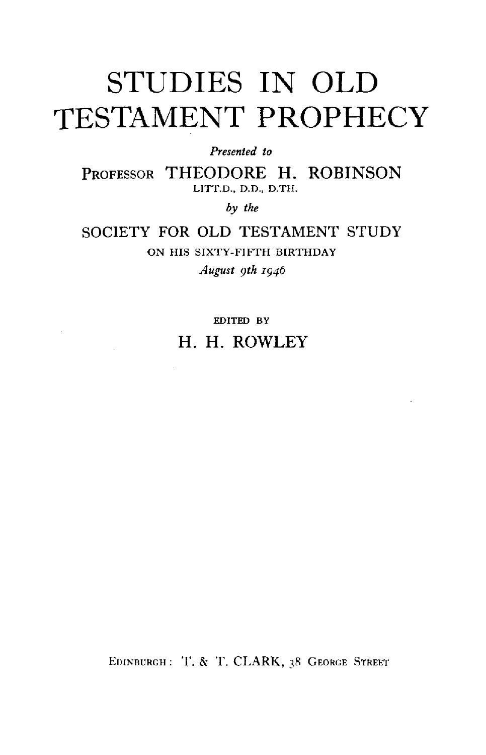# **STUDIES IN OLD TESTAMENT PROPHECY**

*Presented to* 

PROFESSOR THEODORE H. ROBINSON LITT.D., D.D., D.TH.

by *the* 

SOCIETY FOR OLD TESTAMENT STUDY ON HIS SIXTY-FIFTH BIRTHDAY *August 9th I946* 

> EDITED BY H. H. ROWLEY

EDINBURGH: T. & T. CLARK, 38 GEORGE STREET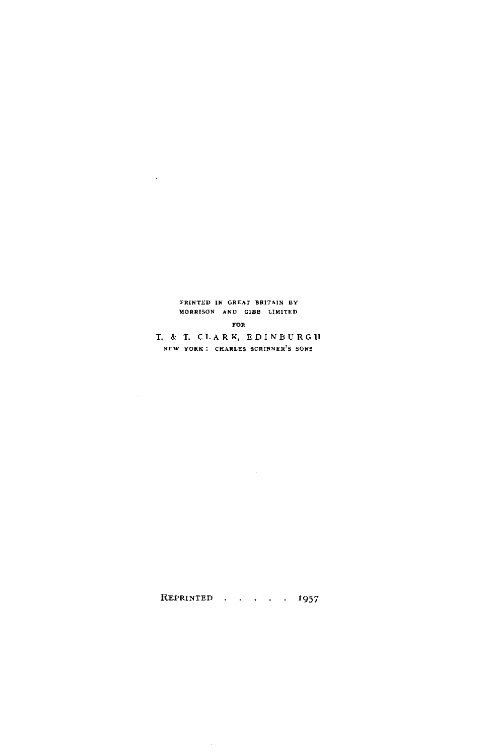#### l'RINTED IN GREAT BRITAIN BY MORRISON AND GIBB LIMITED

 $\sim 10^{11}$  km s  $^{-1}$ 

#### FOR

T. & T. C L A R K, E D I N B U R G H NEW YORK: CHARLES SCRIBNER'S SONS

REPRINTED  $\cdots$ ,  $\cdots$ , 1957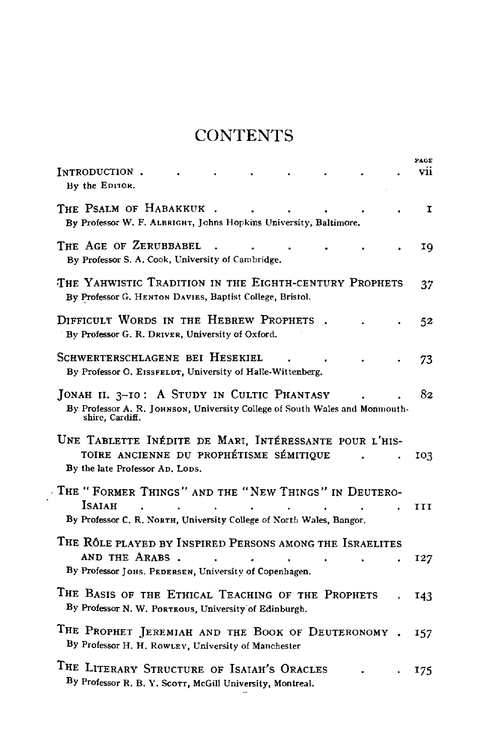# **CONTENTS**

| INTRODUCTION.<br>By the EDITOR.                                                                                                              | PAGE<br>V11 |
|----------------------------------------------------------------------------------------------------------------------------------------------|-------------|
| THE PSALM OF HABAKKUK<br>By Professor W. F. ALBRIGHT, Johns Hopkins University, Baltimore.                                                   | I           |
| THE AGE OF ZERUBBABEL<br>By Professor S. A. Cook, University of Cambridge.                                                                   | ΙQ          |
| The Yahwistic Tradition in the Eighth-century Prophets<br>By Professor G. HENTON DAVIES, Baptist College, Bristol.                           | 37          |
| DIFFICULT WORDS IN THE HEBREW PROPHETS<br>By Professor G. R. DRIVER, University of Oxford.                                                   | 52          |
| SCHWERTERSCHLAGENE BEI HESEKIEL<br>By Professor O. EISSFELDT, University of Halle-Wittenberg.                                                | 73          |
| JONAH II. 3-10: A STUDY IN CULTIC PHANTASY<br>By Professor A. R. JOHNSON, University College of South Wales and Monmouth-<br>shire. Cardiff. | 82          |
| UNE TABLETTE INÉDITE DE MARI, INTÉRESSANTE POUR L'HIS-<br>TOIRE ANCIENNE DU PROPHÉTISME SÉMITIQUE<br>By the late Professor Ap. Lops.         | 103         |
| The "Former Things" and the "New Things" in Deutero-<br>Isaiah<br>By Professor C. R. NORTH, University College of North Wales, Bangor,       | III         |
| THE RÔLE PLAYED BY INSPIRED PERSONS AMONG THE ISRAELITES<br>AND THE ARABS.<br>By Professor JOHS. PEDERSEN, University of Copenhagen.         | 127         |
| THE BASIS OF THE ETHICAL TEACHING OF THE PROPHETS<br>By Professor N. W. PORTEOUS, University of Edinburgh.                                   | 143         |
| THE PROPHET JEREMIAH AND THE BOOK OF DEUTERONOMY<br>By Professor H. H. ROWLEY, University of Manchester                                      | 157         |
| THE LITERARY STRUCTURE OF ISAIAH'S ORACLES<br>By Professor R. B. Y. Scorr, McGill University, Montreal.                                      | 175         |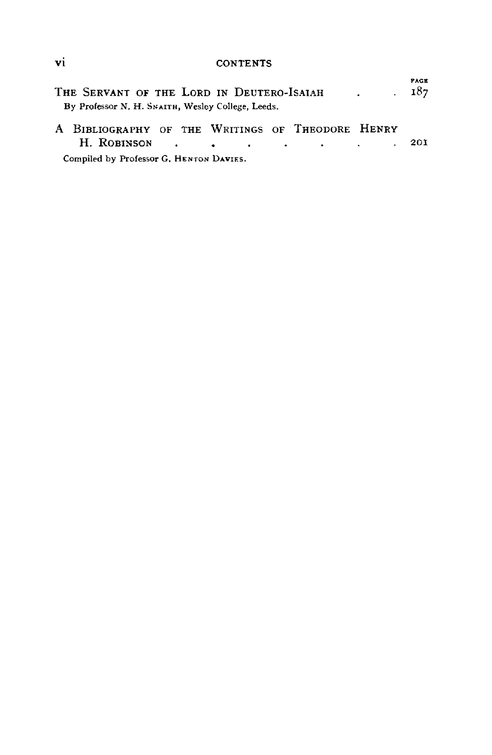vi CONTENTS

| THE SERVANT OF THE LORD IN DEUTERO-ISAIAH<br>By Professor N. H. SNAITH, Wesley College, Leeds. | $\sim 187$ | <b>FAGE</b> |
|------------------------------------------------------------------------------------------------|------------|-------------|
| A BIBLIOGRAPHY OF THE WRITINGS OF THEODORE HENRY                                               |            |             |
|                                                                                                |            | 201         |
| Compiled by Professor G. HENTON DAVIES.                                                        |            |             |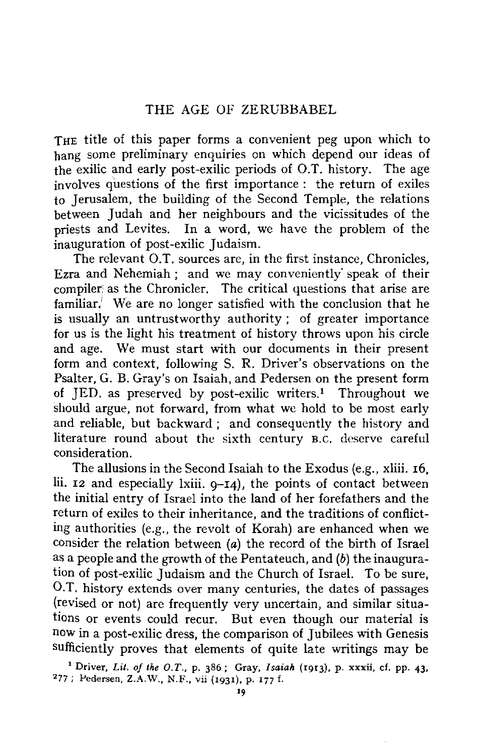THE title of this paper forms a convenient peg upon which to hang some preliminary enquiries on which depend our ideas of the exilic and early post-exilic periods of O.T. history. The age involves questions of the first importance : the return of exiles to Jerusalem, the building of the Second Temple, the relations between Judah and her neighbours and the vicissitudes of the priests and Levites. In a word, we have the problem of the inauguration of post-exilic Judaism.

The relevant O.T. sources are, in the first instance, Chronicles, Ezra and Nehemiah; and we may conveniently' speak of their compiler: as the Chronicler. The critical questions that arise are familiar. We are no longer satisfied with the conclusion that he is usually an untrustworthy authority ; of greater importance for us is the light his treatment of history throws upon his circle and age. We must start with our documents in their present form and context, following S. R. Driver's observations on the Psalter, G. B. Gray's on Isaiah, and Pedersen on the present form of JED. as preserved by post-exilic writers.<sup>1</sup> Throughout we should argue, not forward, from what we hold to be most early and reliable, but backward ; and consequently the history and literature round about the sixth century B.c. deserve careful consideration.

The allusions in the Second Isaiah to the Exodus (e.g., xliii. 16, Iii. 12 and especially lxiii. 9-14), the points of contact between the initial entry of Israel into the land of her forefathers and the return of exiles to their inheritance, and the traditions of conflicting authorities (e.g., the revolt of Korah) are enhanced when we consider the relation between (a) the record of the birth of Israel as a people and the growth of the Pentateuch, and (b) the inauguration of post-exilic Judaism and the Church of Israel. To be sure, 0.T. history extends over many centuries, the dates of passages {revised or not) are frequently very uncertain, and similar situations or events could recur. But even though our material is now in a post-exilic dress, the comparison of Jubilees **with** Genesis sufficiently proves that elements of quite late writings may be

1 Driver, *Lit, of the O.T.,* p. 386; Gray, *Isaiah* (r9r3), p. xxxii, cf. pp. 43, <sup>2</sup> 77; Pedersen, Z.A.W., N.F., vii (1931), p. 177 f.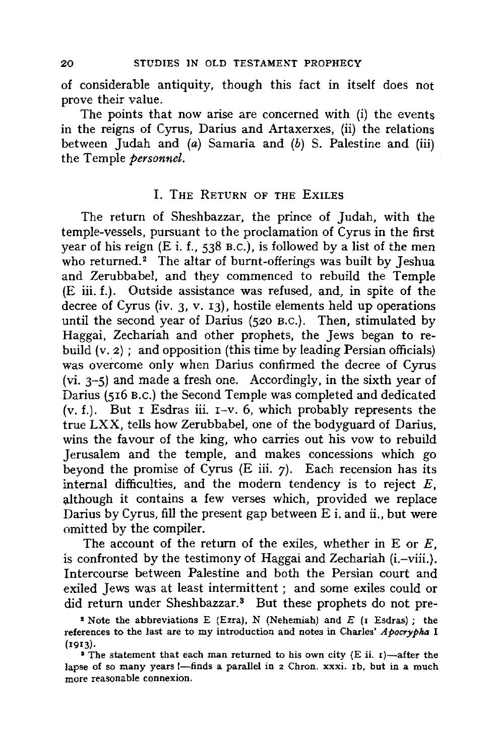of considerable antiquity, though this fact in itself does not prove their value.

The points that now arise are concerned with (i) the events in the reigns of Cyrus, Darius and Artaxerxes, (ii) the relations between Judah and  $(a)$  Samaria and  $(b)$  S. Palestine and (iii) the Temple *personnel.* 

#### I. THE RETURN OF THE EXILES

The return of Sheshbazzar, the prince of Judah, with the temple-vessels, pursuant to the proclamation of Cyrus in the first year of his reign  $(E \text{ i. f.}, 538 \text{ B.C.})$ , is followed by a list of the men who returned.<sup>2</sup> The altar of burnt-offerings was built by Jeshua and Zerubbabel, and they commenced to rebuild the Temple (E iii. f.). Outside assistance was refused, and, in spite of the decree of Cyrus (iv. 3, v. 13), hostile elements held up operations until the second year of Darius {520 B.c.). Then, stimulated by Haggai, Zechariah and other prophets, the Jews began to rebuild  $(v, z)$ ; and opposition (this time by leading Persian officials) was overcome only when Darius confirmed the decree of Cyrus (vi. 3-5) and made a fresh one. Accordingly, in the sixth year of Darius (516 B.c.) the Second Temple was completed and dedicated (v. f.). But I Esdras iii. 1-v. 6, which probably represents the true LXX, tells how Zerubbabel, one of the bodyguard of Darius, wins the favour of the king, who carries out his vow to rebuild Jerusalem and the temple, and makes concessions which go beyond the promise of Cyrus (E iii. 7). Each recension has its internal difficulties, and the modern tendency is to reject  $E$ , although it contains a few verses which, provided we replace Darius by Cyrus, fill the present gap between E i, and ii., but were omitted by the compiler.

The account of the return of the exiles, whether in  $E$  or  $E$ , is confronted by the testimony of Haggai and Zechariah (i.-viii.). Intercourse between Palestine and both the Persian court and exiled Jews was at least intermittent; and some exiles could or did return under Sheshbazzar.<sup>3</sup> But these prophets do not pre-

<sup>•</sup> Note the abbreviations E (Ezra), N (Nehemiah) and *E* (1 Esdras) ; the references to the last are to my introduction and notes in Charles' *Apocrypha* I (1913).

**<sup>•</sup> The statement that each man returned to his own city (E ii. 1)—after the** lapse of so many years  $\frac{1}{2}$ -finds a parallel in 2 Chron. xxxi. 1b, but in a much more reasonable connexion.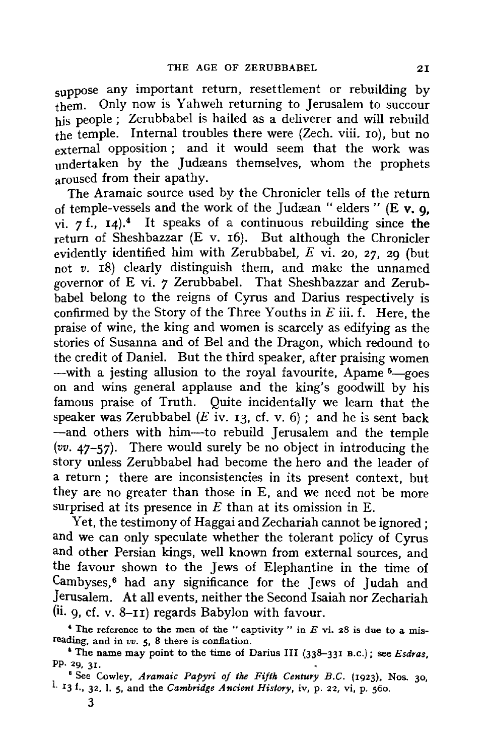suppose any important return, resettlement or rebuilding by them. Only now is Yahweh returning to Jerusalem to succour his people; Zerubbabel is hailed as a deliverer and will rebuild the temple. Internal troubles there were (Zech. viii. ro), but no external opposition; and it would seem that the work was undertaken by the Judæans themselves, whom the prophets aroused from their apathy.

The Aramaic source used by the Chronicler tells of the return of temple-vessels and the work of the Judrean "elders" (E **v. 9,**  vi.  $7 \text{ f}$ ,  $14$ ).<sup>4</sup> It speaks of a continuous rebuilding since the return of Sheshbazzar (E v. 16). But although the Chronicler evidently identified him with Zerubbabel, *E* vi. 20, 27, 29 (but not *v.* 18) clearly distinguish them, and make the unnamed governor of E vi. 7 Zerubbabel. That Sheshbazzar and Zerubbabel belong to the reigns of Cyrus and Darius respectively is confirmed by the Story of the Three Youths in *E* iii. f. Here, the praise of wine, the king and women is scarcely as edifying as the stories of Susanna and of Bel and the Dragon, which redound to the credit of Daniel. But the third speaker, after praising women -with a jesting allusion to the royal favourite, Apame  $5$ -goes on and wins general applause and the king's goodwill by his famous praise of Truth. Quite incidentally we learn that the speaker was Zerubbabel ( $E$  iv. 13, cf. v. 6); and he is sent back -and others with him-to rebuild Jerusalem and the temple *(vv.* 47-57). There would surely be no object in introducing the story unless Zerubbabel had become the hero and the leader of a return; there are inconsistencies in its present context, but they are no greater than those in E, and we need not be more surprised at its presence in *E* than at its omission in E.

Yet, the testimony of Haggai and Zechariah cannot be ignored ; and we can only speculate whether the tolerant policy of Cyrus and other Persian kings, well known from external sources, and the favour shown to the Jews of Elephantine in the time of Cambyses,<sup>6</sup> had any significance for the Jews of Judah and Jerusalem. *At* all events, neither the Second Isaiah nor Zechariah  $(ii. q. cf. v. 8-II)$  regards Babylon with favour.

' The reference to **the** men of the " captivity " in *E* vi. 28 is due to a misreading, and in *vv.* 5, 8 there is conflation.

<sup>&</sup>lt;sup>6</sup> The name may point to the time of Darius III (338-331 B.C.); see *Esdras*, Pp. 29,  $31.$ 

<sup>&</sup>lt;sup>8</sup> See Cowley, Aramaic Papyri of the Fifth Century B.C. (1923), Nos. 30, 1. I3 f., 32, I. 5, and the *Cambridge Ancient History,* iv, p. 22, vi, p. 560.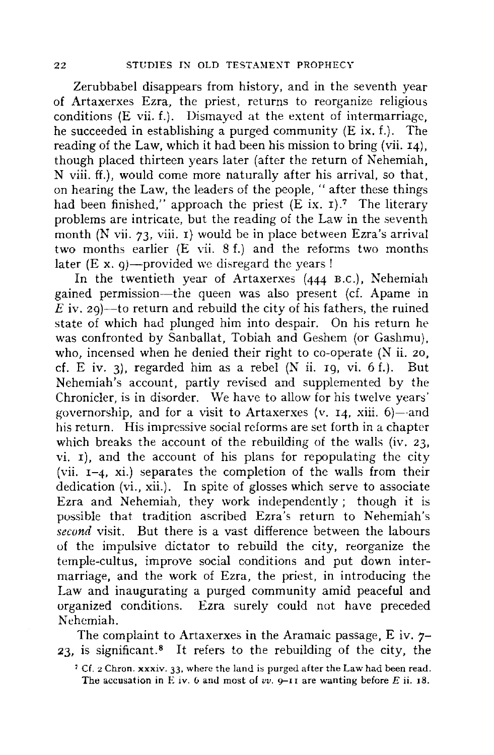Zerubbabel disappears from history, and in the seventh year of Artaxerxes Ezra, the priest, returns to reorganize religious conditions (E vii. f.). Dismayed at the extent of intermarriage, he succeeded in establishing a purged community (E ix. f.). The reading of the Law, which it had been his mission to bring (vii. 14), though placed thirteen years later (after the return of Nehemiah, N viii. ff.), would come more naturally after his arrival, so that, on hearing the Law, the leaders of the people, " after these things had been finished," approach the priest  $(E \text{ ix. } 1)$ .<sup>7</sup> The literary problems are intricate, but the reading of the Law in the seventh month  $(N \text{ vii. } 73$ , viii. 1) would be in place between Ezra's arrival two months earlier (E vii. 8 f.) and the reforms two months later  $(E \times a)$ —provided we disregard the years !

In the twentieth year of Artaxerxes (444 B.c.), Nehemiah gained permission-the queen was also present (cf. Apame in  $\overrightarrow{E}$  iv. 29)—to return and rebuild the city of his fathers, the ruined state of which had plunged him into despair. On his return he was confronted by Sanballat, Tobiah and Geshem (or Gashmu), who, incensed when he denied their right to co-operate (N ii. 20, cf. E iv. 3), regarded him as a rebel  $(N$  ii. 19, vi. 6 f.). But Nehemiah's account, partly revised and supplemented by the Chronicler, is in disorder. \Ve have *to* allow for his twelve years' governorship, and for a visit to Artaxerxes (v. 14, xiii. 6)-and his return. His impressive social reforms are set forth in a chapter which breaks the account of the rebuilding of the walls (iv. 23, vi. 1), and the account of his plans for repopulating the city (vii.  $I=4$ , xi.) separates the completion of the walls from their dedication (vi., xii.). In spite of glosses which serve to associate Ezra and Nehemiah, they work independently; though it is possible that tradition ascribed Ezra's return to Nehemiah's *second* visit. But there is a vast difference between the labours of the impulsive dictator to rebuild the city, reorganize the temple-cultus, improve social conditions and put down intermarriage, and the work of Ezra, the priest, in introducing the Law and inaugurating a purged community amid peaceful and organized conditions. Ezra surely could not have preceded Nehemiah.

The complaint to Artaxerxes in the Aramaic passage, E iv.  $7-$ **23,** is significant. 8 It refers to the rebuilding of the city, the

<sup>1</sup> Cf. 2 Chron. **xxxiv.** 33, where the land is purged after the Law had been read. The accusation in E iv.  $6$  and most of  $vv$ .  $9-11$  are wanting before *E* ii. 18.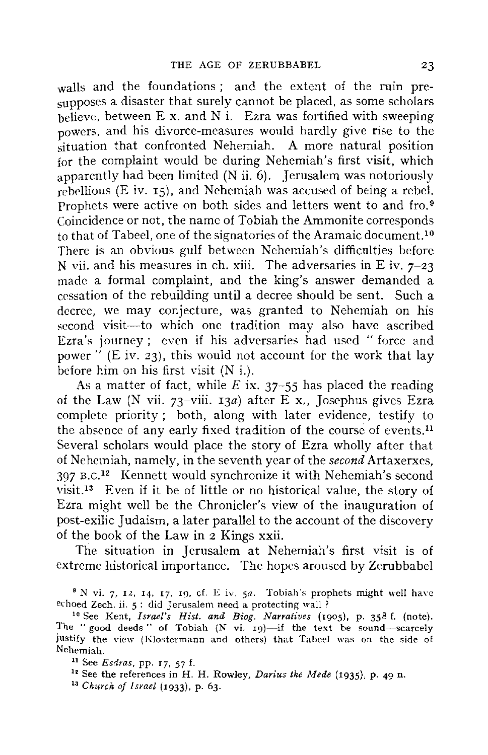walls and the foundations; and the extent of the ruin presupposes a disaster that surely cannot be placed, as some scholars  $\frac{1}{2}$  between E x, and N i. Ezra was fortified with sweeping powers, and his divorce-measures would hardly give rise to the situation that confronted Nehemiah. A more natural position for the complaint would be during Nehemiah's first visit, which apparently had been limited  $(N$ ii.  $6)$ . Jerusalem was notoriously  $r$ ebellious (E iv. 15), and Nehemiah was accused of being a rebel. Prophets were active on both sides and letters went to and fro.<sup>9</sup> Coincidence or not, the name of Tobiah the Ammonite corresponds to that of Tabeel, one of the signatories of the Aramaic document. <sup>10</sup> There is an obvious gulf between Nehemiah's difficulties before N vii. and his measures in ch. xiii. The adversaries in E iv.  $7-23$ made a formal complaint, and the king's answer demanded a cessation of the rebuilding until a decree should be sent. Such a decree, we may conjecture, was granted to Nehemiah on his second visit-to which one tradition may also have ascribed Ezra's journey ; even if his adversaries had used " force and power"  $(E \text{ iv. } 23)$ , this would not account for the work that lay before him on his first visit **(N** i.).

As a matter of fact, while *E* **ix.** 37-55 has placed the reading of the Law (N vii. 73-viii. 13a) after E x., Josephus gives Ezra complete priority ; both, along with later evidence, testify to the absence of any early fixed tradition of the course of events.<sup>11</sup> Several scholars would place the story of Ezra wholly after that of Nehemiah, namely, in the seventh year of the *second* Artaxerxes, 397 B.C.<sup>12</sup> Kennett would synchronize it with Nehemiah's second visit. 13 Even if it be of little or no historical value, the story of Ezra might well be the Chronicler's view of the inauguration of post-exilic Judaism, a later parallel to the account of the discovery of the book of the Law in 2 Kings xxii.

The situation in Jerusalem at Nehemiah's first visit is of extreme historical importance. The hopes aroused by Zerubbabcl

<sup>&</sup>lt;sup>9</sup> N vi. 7, 12, 14, 17, 19, cf. E iv. 5a. Tobiah's prophets might well have echoed Zech. ii. 5: did Jerusalem need a protecting wall?<br><sup>10</sup> See Kent, *Israel's Hist. and Biog. Narratives* (1905), p. 358 f. (note).

The " good deeds " of Tobiah (N vi. 19)-if the text be sound-scarcely justify the view (Klostermann and others) that Tabeel was on the side of Nehemiah.

u See *Esdras,* pp. r7, 57 f. 12 See the references in H. H. Rowley, *Darius the Mede* (1935), p. *49* n.

<sup>13</sup> *Church of Israel* (1933), p. 63.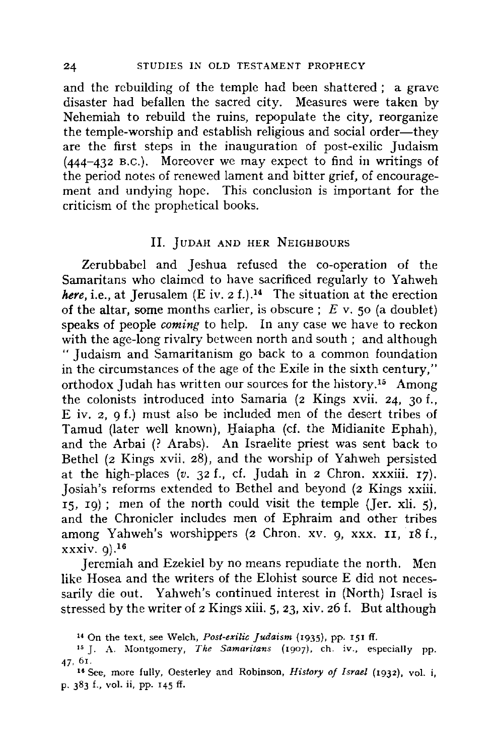and the rebuilding of the temple had been shattered ; a grave disaster had befallen the sacred city. Measures were taken by Nehemiah to rebuild the ruins, repopulate the city, reorganize the temple-worship and establish religious and social order—they are the first steps in the inauguration of post-exilic Judaism (444-432 B.c.). Moreover we may expect to find in writings of the period notes of renewed lament and bitter grief, of encouragement and undying hope. This conclusion is important for the criticism of the prophetical books.

#### II. JUDAH AND HER NEIGHBOURS

Zerubbabel and Jeshua refused the co-operation of the Samaritans who claimed to have sacrificed regularly to Yahweh *here, i.e., at Jerusalem*  $(E iv. 2 f.)$ *<sup>14</sup> The situation at the erection* of the altar, some months earlier, is obscure ; *E* v. 50 (a doublet) speaks of people *coming* to help. In any case we have to reckon with the age-long rivalry between north and south ; and although " Judaism and Samaritanism go back to a common foundation in the circumstances of the age of the Exile in the sixth century," orthodox Judah has written our sources for the history. 15 Among the colonists introduced into Samaria (2 Kings **xvii.** 24, 30 f., E iv. 2, 9 f.) must also be included men of the desert tribes of Tamud (later well known), Haiapha (cf. the Midianite Ephah), and the Arbai (? Arabs). An Israelite priest was sent back to Bethel (2 Kings xvii. 28), and the worship of Yahweh persisted at the high-places  $(v. 32 f.$ , cf. Judah in 2 Chron. xxxiii. 17). Josiah's reforms extended to Bethel and beyond (2 Kings xxiii.  $15$ ,  $19$ ); men of the north could visit the temple (Jer. xli. 5), and the Chronicler includes men of Ephraim and other tribes among Yahweh's worshippers (2 Chron. xv. 9, xxx. II, 18 f., xxxiv. 9).16

Jeremiah and Ezekiel by no means repudiate the north. Men like Hosea and the writers of the Elohist source E did not necessarily die out. Yahweh's continued interest in (North) Israel is stressed by the writer of 2 Kings xiii. 5, 23, xiv. 26 f. But although

<sup>14</sup>On the text, see Welch, *Post-exilic Judaism* (1935), pp. r51 ff. 15 J. A. i\Iontgomery, *The Samaritans* (1907). eh. iv., especially pp.

<sup>47, 61.</sup> 

<sup>&</sup>lt;sup>16</sup> See, more fully, Oesterley and Robinson, *History of Israel* (1932), vol. i, p. 383 f., vol. ii, pp. 145 ff.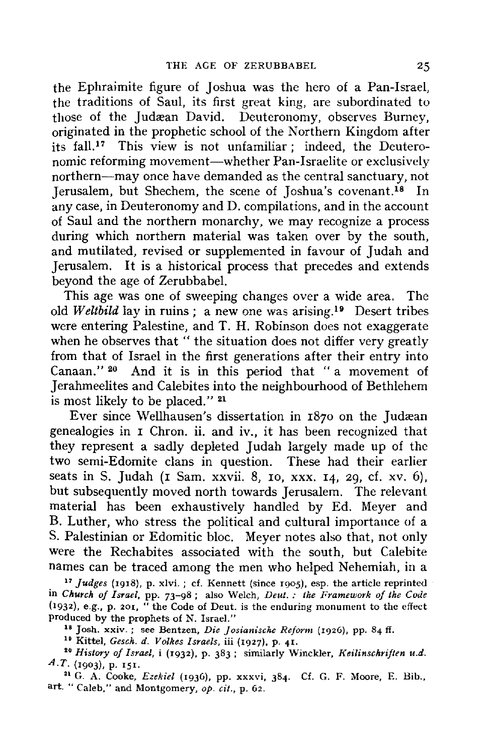the Ephraimite figure of Joshua was the hero of a Pan-Israel, the traditions of Saul, its first great king, are subordinated to those of the Judæan David. Deuteronomy, observes Burney, originated in the prophetic school of the Northern Kingdom after its fall.<sup>17</sup> This view is not unfamiliar; indeed, the Deuteronomic reforming movement—whether Pan-Israelite or exclusively northern-may once have demanded as the central sanctuary, not Jerusalem, but Shechem, the scene of Joshua's covenant.18 In any case, in Deuteronomy and D. compilations, and in the account of Saul and the northern monarchy, we may recognize a process during which northern material was taken over by the south, and mutilated, revised or supplemented in favour of Judah and Jerusalem. It is a historical process that precedes and extends beyond the age of Zerubbabel.

This age was one of sweeping changes over a wide area. The old *Weltbild* lay in ruins; a new one was arising. 19 Desert tribes were entering Palestine, and T. H. Robinson does not exaggerate when he observes that " the situation does not differ very greatly from that of Israel in the first generations after their entry into Canaan." 20 And it is in this period that "a movement of Jerahmeelites and Calebites into the neighbourhood of Bethlehem is most likely to be placed." 21

Ever since Wellhausen's dissertation in 1870 on the Judæan genealogies in I Chron. ii. and iv., it has been recognized that they represent a sadly depleted Judah largely made up of the two semi-Edomite clans in question. These had their earlier seats in S. Judah (1 Sam. xxvii. 8, 10, xxx. 14, 29, cf. xv. 6), but subsequently moved north towards Jerusalem. The relevant material has been exhaustively handled by Ed. Meyer and B. Luther, who stress the political and cultural importance of a S. Palestinian or Edomitic bloc. Meyer notes also that, not only were the Rechabites associated with the south, but Calebite names can be traced among the men who helped Nehemiah, in a

<sup>17</sup>*Judges* (1918), p. xlvi. ; cf. Kennett (since 1905), esp. the article reprinted in *Church of Israel,* pp. 73-98; also Welch, *Deut. : the Framework of the Code*  (1932), e.g., p. 201, "the Code of Deut. is the enduring monument to the effect produced by the prophets of N. Israel."

<sup>18</sup> Josh. xxiv.; see Bentzen, *Die Josianische Reform* (1926), pp. 84 ff.<br><sup>19</sup> Kittel, *Gesch. d. Volkes Israels*, iii (1927), p. 41.<br><sup>20</sup> History of Israel, i (1932), p. 383; similarly Winckler, *Keilinschriften u.d. A.T.* (1903), p. 151.<br><sup>21</sup> G. A. Cooke, *Ezekiel* (1936), pp. xxxvi, 384. Cf. G. F. Moore, E. Bib.,

art. "Caleb," and Montgomery, *op. cit.,* p. 62.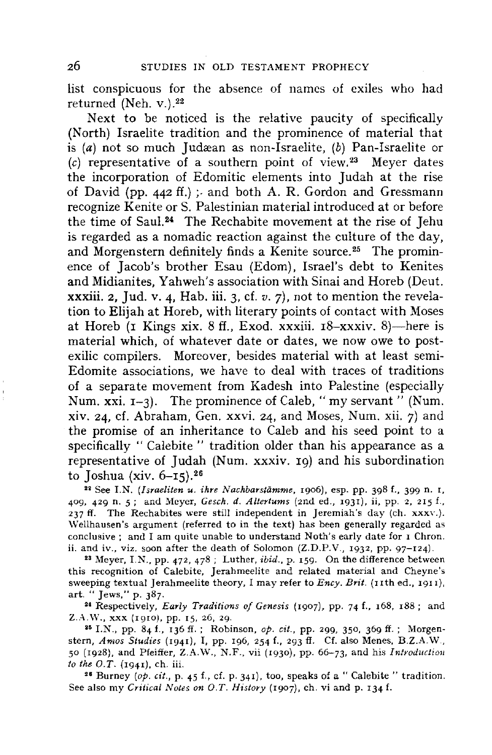list conspicuous for the absence of names of exiles who had returned (Neh. v.).<sup>22</sup>

Next to be noticed is the relative paucity of specifically (North) Israelite tradition and the prominence of material that is (a) not so much Judæan as non-Israelite, (b) Pan-Israelite or  $(c)$  representative of a southern point of view.<sup>23</sup> Meyer dates the incorporation of Edomitic elements into Judah at the rise of David (pp. 442 ff.);- and both A. **R.** Gordon and Gressmann recognize Kenite or S. Palestinian material introduced at or before the time of Saul. 24 The Rechabite movement at the rise of Jehu is regarded as a nomadic reaction against the culture of the day, and Morgenstern definitely finds a Kenite source.<sup>25</sup> The prominence of Jacob's brother Esau (Edom), Israel's debt to Kenites and Midianites, Yahweh's association with Sinai and Horeb (Deut. **xxxiii.** 2, Jud. v. 4, Hab. iii. 3, cf. *v.* 7), not to mention the revelation to Elijah at Horeb, with literary points of contact with Moses at Horeb (1 Kings xix. 8 ff., Exod. xxxiii.  $18 -$ xxxiv. 8)—here is material which, of whatever date or dates, we now owe to postexilic compilers. Moreover, besides material with at least semi-Edomite associations, we have to deal with traces of traditions of a separate movement from Kadesh into Palestine {especially Num. xxi. 1-3). The prominence of Caleb, "my servant" (Num. xiv. 24, cf. Abraham, Gen. xxvi. 24, and Moses, Num. xii. 7) and the promise of an inheritance to Caleb and his seed point to a specifically " Calebite " tradition older than his appearance as a representative of Judah (Num. xxxiv. 19) and his subordination to Joshua **(xiv.** 6-15). <sup>26</sup>

<sup>22</sup> See I.N. *(Israeliten u. ihre Nachbarstämme*, 1906), esp. pp. 398 f., 399 n. 1, 409, 429 n. 5; and Meyer, *Gesch. d. Altertums* (2nd ed., 1931), ii, pp. 2, 215 f., 237 ff. The Rechabites were still independent in Jeremiah's day (eh. xxxv.). \Vellhausen's argument (referred to in the text) has been generally regarded as conclusive; and I am quite unable to understand Noth's early date for I Chron. ii. and iv., viz. soon after the death of Solomon (Z.D.P.V., 1932, pp. 97-124).

<sup>23</sup>Meyer, I.N., pp. 472, 478; Luther, *ibid.,* p. 159. On the difference between this recognition of Calebite, Jerahmeelite and related material and Cheyne's sweeping textual Jerahmeelite theory, I may refer to *Ency. Brit.* (11th ed., 1911), art. " Jews," p. 387.

<sup>24</sup> Respectively, *Early Traditions of Genesis* (1907), pp. 74 f., 168, 188; and  $Z.A.W., xxx (1910), pp. 15, 26, 29.$ 

' <sup>6</sup>I.N., pp. 84 f., 136 ff. ; Robinson, *op. cit.,* pp. 299, 350, 369 ff. ; Morgenstern, *Amos Studies* (1941), I, pp. 196, 254 f., 293 fl. Cf. also Menes, B.Z.A.W., 50 (1928), and Pfeiffer, Z.A.W., N.F., vii (1930), pp. 66-73, and his *Introduction lo the O.T.* (1941), eh. iii.

<sup>26</sup> Burney *(op. cit., p. 45 f., cf. p. 341)*, too, speaks of a " Calebite " tradition. See also my *Critical Notes on O.T. History* (1907), ch. vi and p. 134 f.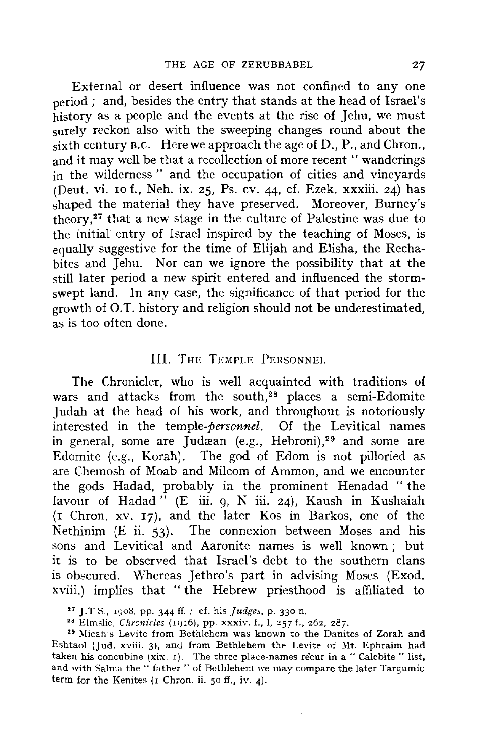External or desert influence was not confined to any one period ; and, besides the entry that stands at the head of Israel's history as a people and the events at the rise of Jehu, we must surely reckon also with the sweeping changes round about the sixth century B.C. Here we approach the age of D., P., and Chron., and it may well be that a recollection of more recent" wanderings in the wilderness " and the occupation of cities and vineyards (Deut. vi. 10 f., Neh. ix. 25, Ps. cv. 44, cf. Ezek. **xxxiii.** 24) has shaped the material they have preserved. Moreover, Burney's theory, 27 that a new stage in the culture of Palestine was due to the initial entry of Israel inspired by the teaching of Moses, is equally suggestive for the time of Elijah and Elisha, the Rechabites and Jehu. Nor can we ignore the possibility that at the still later period a new spirit entered and influenced the stormswept land. In any case, the significance of that period for the growth of O.T. history and religion should not be underestimated, as is too often done.

#### III. THE TEMPLE PERSONNEL

The Chronicler, who is well acquainted **with** traditions of wars and attacks from the south,<sup>28</sup> places a semi-Edomite Judah at the head of his work, and throughout is notoriously interested in the *temple-personnel.* Of the Levitical names in general, some are Judæan (e.g., Hebroni), $29$  and some are Edomite (e.g., Korah). The god of Edom is not pilloried as are Chemosh of Moab and Milcom of Ammon, and we encounter the gods Hadad, probably in the prominent Henadad "the favour of Hadad " (E iii. 9, N iii. 24), Kaush in Kushaiah (r Chron. xv. 17), and the later Kos in Barkos, one of the Nethinim  $(E \nii. 53)$ . The connexion between Moses and his sons and Levitical and Aaronite names is well known ; but it is to be observed that Israel's debt to the southern clans is obscured. Whereas Jethro's part in advising Moses (Exod. xviii.) implies that "the Hebrew priesthood is affiliated to

27 J.T.S., 1908, pp. 344 ff. ; cf. his *Judges,* p. 330 n.

<sup>29</sup> Micah's Levite from Bethlehem was known to the Danites of Zorah and Eshtaol (Jud. xviii. 3), and from Bethlehem the Levite of Mt. Ephraim had taken his concubine (xix. 1). The three place-names recur in a " Calebite " list, and with Salma the " father " of Bethlehem we may compare the later Targumic term for the Kenites  $(1)$  Chron. ii. 50 ff., iv. 4).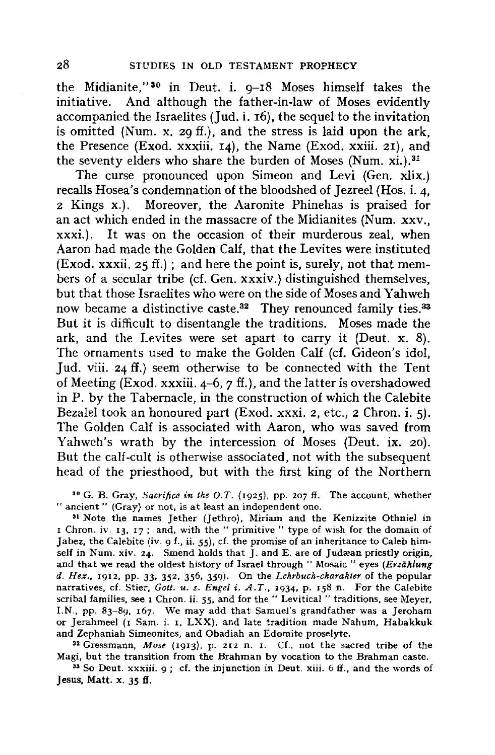the Midianite," 30 in Deut. i. 9-18 Moses himself takes the initiative. And although the father-in-law of Moses evidently accompanied the Israelites (Jud. i. 16), the sequel to the invitation is omitted (Num. x. 29 ff.), and the stress is laid upon the ark, the Presence (Exod. **xxxiii.** 14), the Name (Exod. **xxiii.** 21), and the seventy elders who share the burden of Moses (Num. xi.).<sup>31</sup>

The curse pronounced upon Simeon and Levi (Gen. xlix.) recalls Hosea's condemnation of the bloodshed of Jezreel (Hos. i. 4, <sup>2</sup>Kings x.). Moreover, the Aaronite Phinehas is praised for an act which ended in the massacre of the Midianites (Num. xxv., xxxi.). It was on the occasion of their murderous zeal, when Aaron had made the Golden Calf, that the Levites were instituted (Exod. xxxii.  $25 \text{ ff.}$ ) ; and here the point is, surely, not that members of a secular tribe (cf. Gen. xxxiv.) distinguished themselves, but that those Israelites who were on the side of Moses and Yahweh now became a distinctive caste.<sup>32</sup> They renounced family ties.<sup>33</sup> But it is difficult to disentangle the traditions. Moses made the ark, and the Levites were set apart to carry it (Deut. x. 8). The ornaments used to make the Golden Calf (cf. Gideon's idol, Jud. viii. 24 ff.) seem otherwise to be connected with the Tent of Meeting (Exod. xxxiii.  $4-6$ ,  $7$  ff.), and the latter is overshadowed in P. by the Tabernacle, in the construction of which the Calebite Bezalel took an honoured part (Exod. xxxi. 2, etc., 2 Chron. i. 5). The Golden Calf is associated with Aaron, who was saved from Yahwch's wrath by the intercession of Moses (Deut. ix. 20). But the calf-cult is otherwise associated, not with the subsequent head of the priesthood, but with the first king of the Northern

<sup>30</sup> G. B. Gray, *Sacrifice in the O.T.* (1925), pp. 207 ff. The account, whether " ancient " (Gray) or not, is at least an independent one.

<sup>31</sup> Note the names Jether (Jethro), Miriam and the Kenizzite Othniel in I Chron. iv. 13, 17; and, with the "primitive" type of wish for the domain of Jabez, the Calebite (iv. 9 f., ii. 55), cf. the promise of an inheritance to Caleb himself in Num. xiv. 24. Smend holds that  $\overline{J}$ . and E. are of Judæan priestly origin, and that we read the oldest history of Israel through " Mosaic " eyes *(Erzählung d. Hex.,* 1912, pp. *33,* 352, 356, 359). On the *Lehrbuch-charakter* of the popular narratives, cf. Stier, *Gott. u. s. Engel* i. *A. T.,* 1934, p. 158 n. For the Calebite scribal families, see 1 Chron. ii. *55,* and for the " Levitical " traditions, see Meyer, 1.N., pp. 83-89, 167. We may add that Samuel's grandfather was a Jeroham or Jerahmeel (1 Sam. i. 1, LXX), and late tradition made Nahum, Habakkuk and Zephaniah Simeonites, and Obadiah an Edomite proselyte.

<sup>32</sup>Gressmann, *Mose* (1913). p. 212 n. I. Cf., not the sacred tribe of the Magi, but the transition from the Brahman by vocation to the Brahman caste.<br><sup>33</sup> So Deut. xxxiii. 9; cf. the injunction in Deut. xiii. 6 ff., and the words of

Jesus, Matt. **x.** *35* ff.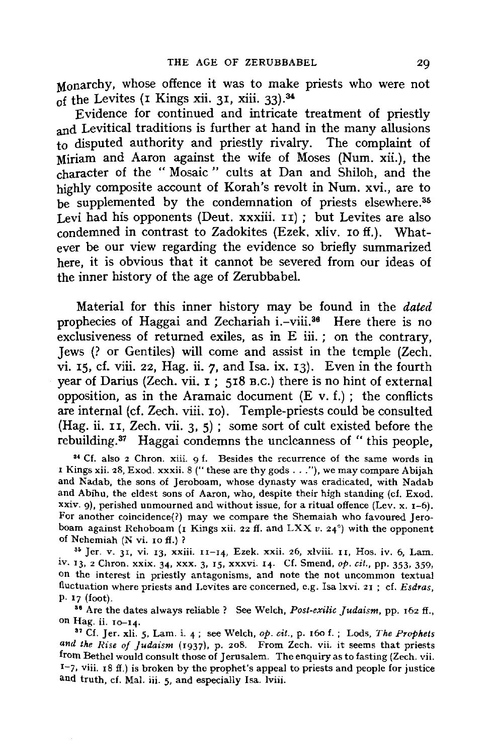Monarchy, whose offence it was to make priests who were not of the Levites (1 Kings xii. 31, xiii. 33). <sup>34</sup>

Evidence for continued and intricate treatment of priestly and Levitical traditions is further at hand in the many allusions to disputed authority and priestly rivalry. The complaint of Miriam and Aaron against the wife of Moses (Num. xii.), the character of the " Mosaic " cults at Dan and Shiloh, and the highly composite account of Korah's revolt in Num. xvi., are to be supplemented by the condemnation of priests elsewhere.<sup>35</sup> Levi had his opponents (Deut. **xxxiii.** II) ; but Levites are also condemned in contrast to Zadokites (Ezek. xliv. ro ff.). Whatever be our view regarding the evidence so briefly summarized here, it is obvious that it cannot be severed from our ideas of the inner history of the age of Zerubbabel.

Material for this inner history may be found in the *dated*  prophecies of Haggai and Zechariah i.-viii.36 Here there is no exclusiveness of returned exiles, as in E iii. ; on the contrary, Jews (? or Gentiles) will come and assist in the temple (Zech. vi. 15, cf. viii. 22, Hag. ii. 7, and Isa. ix. 13). Even in the fourth year of Darius (Zech. vii. I ; 518 B.c.) there is no hint of external opposition, as in the Aramaic document  $(E \, v. f.)$ ; the conflicts are internal (cf. Zech. viii. 10). Temple-priests could be consulted (Hag. ii. II, Zech. vii. 3, 5) ; some sort of cult existed before the rebuilding.<sup>37</sup> Haggai condemns the uncleanness of "this people,

34 Cf. also 2 Chron. xiii. 9 f. Besides the recurrence of the same words in 1 Kings xii. 28, Exod. xxxii. 8 (" these are thy gods ... "), we may compare Abijah and Nadab, the sons of Jeroboam, whose dynasty was eradicated, with Nadab and Abihu, the eldest sons of Aaron, who, despite their high standing (cf. Exod. xxiv. 9), perished unmourned and without issue, for a ritual offence (Lev. x.  $1-6$ ). For another coincidence(?) may we compare the Shemaiah who favoured Jeroboam against Rehoboam (1 Kings xii. 22 ff. and LXX *v.* 24°) with the opponent of Nehemiah (N vi. 10 ff.) ?<br><sup>35</sup> Jer. v. 31, vi. 13, xxiii. 11-14, Ezek. xxii. 26, xlviii. 11, Hos. iv. 6, Lam.

iv. 13, 2 Chron. xxix. 34, xxx. 3, 15, xxxvi. I4· Cf. Smend, *op. cit.,* pp. 353, 359, on the interest in priestly antagonisms, and note the not uncommon textual fluctuation where priests and Levites are concerned, e.g. Isa !xvi. 21 ; cf. *Esdras,*  p. 17 (foot). 31 Are the dates always reliable ? See Welch, *Post-exilic Judaism,* pp. 162 ff.,

on Hag. ii. 10-14.

37 Cf. Jer. xii. 5, Lam. i. 4; see Welch, *op. cit.,* p. 160 f.; Lods, *The Prophets and the Rise of Judaism* (1937). p. 208. From Zech. vii. it seems that priests from Bethel would consult those of Jerusalem. The enquiry as to fasting (Zech. vii.  $I^2$ , viii. 18 ff.) is broken by the prophet's appeal to priests and people for justice and truth, cf. Mal. iii. 5, and especially Isa. lviii.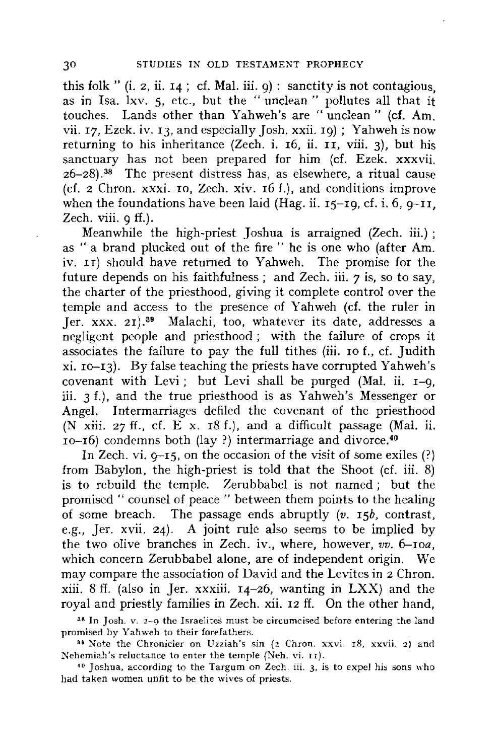this folk " (i. 2, ii. 14 ; cf. Mal. iii. 9) : sanctity is not contagious, as in Isa. lxv. 5, etc., but the " unclean " pollutes all that it touches. Lands other than Yahweh's are "unclean" **(cf. Am.**  vii. 17, Ezek. iv. 13, and especially Josh. **xxii.** 19); Yahweh is now returning to his inheritance (Zech. i. 16, ii. II, viii. 3), but his sanctuary has not been prepared for him (cf. Ezek. xxxvii.  $26-28$ ).<sup>38</sup> The present distress has, as elsewhere, a ritual cause (cf. 2 Chron. **xxxi.** IO, Zech. xiv. 16 f.), and conditions improve when the foundations have been laid (Hag. ii.  $15-19$ , cf. i. 6,  $9-11$ . Zech. viii. 9 ff.).

Meanwhile the high-priest Joshua is arraigned (Zech. iii.) ; as " a brand plucked out of the fire " he is one who (after Am. iv. II) should have returned to Yahweh. The promise for the future depends on his faithfulness : and Zech. iii.  $\tau$  is, so to say, the charter of the priesthood, giving it complete control over the temple and access to the presence of Yahweh (cf. the ruler in *]er.* xxx. 21).39 Malachi, too, whatever its date, addresses a negligent people and priesthood ; with the failure of crops it associates the failure to pay the full tithes (iii. ro f., cf. Judith  $xi$ .  $10-13$ ). By false teaching the priests have corrupted Yahweh's covenant with Levi ; but Levi shall be purged (Mal. ii.  $I=0$ , iii. 3 f.), and the true priesthood is as Yahweh's Messenger or Angel. Intermarriages defiled the covenant of the priesthood (N xiii. 27 ff., cf. E x. 18 f.), and a difficult passage (Mal. ii.  $10$ -16) condemns both (lay ?) intermarriage and divorce.<sup>40</sup>

In Zech. vi.  $0-15$ , on the occasion of the visit of some exiles  $(?)$ from Babylon, the high-priest is told that the Shoot (cf. iii. 8) is to rebuild the temple. Zerubbabel is not named; but the promised " counsel of peace " between them points to the healing of some breach. The passage ends abruptly *(v. 15b,* contrast, e.g., Jer. xvii. 24). A joint rule also seems to be implied by the two olive branches in Zech. iv., where, however,  $v\hat{v}$ , 6-roa, which concern Zerubbabel alone, are of independent origin. We may compare the association of David and the Levites in 2 Chron.  $xiii. 8 ff.$  (also in Jer.  $xxxiii. 14-26$ , wanting in  $LXX$ ) and the royal and priestly families in Zech. xii. 12 ff. On the other hand,

38 In Josh. v. 2-9 the Israelites must be circumcised before entering the land promised by Yahweh to their forefathers.

39 Note the Chronicler on Uzziah's sin (2 Chron. xxvi. 18, xxvii. 2) and Nehemiah's reluctance to enter the temple (Neh. vi. 11).

 $40$  Joshua, according to the Targum on Zech. iii. 3, is to expel his sons who had taken women unfit to be the wives of priests.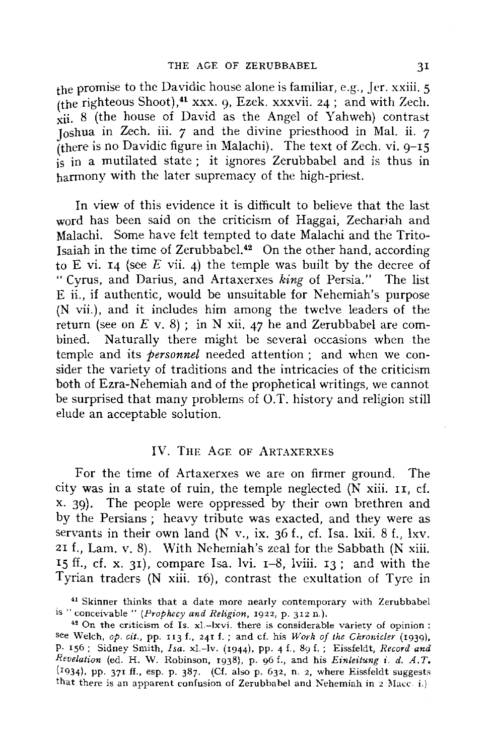the promise to the Davidic house alone is familiar, e.g., Jer. xxiii. 5 (the righteous Shoot),<sup>41</sup> xxx. 9, Ezek. xxxvii. 24 ; and with Zech.  $\overline{X}$  (the house of David as the Angel of Yahweh) contrast Joshua in Zech. iii. *7* and the divine priesthood in Mal. ii. *7*  (there is no Davidic figure in Malachi). The text of Zech. vi.  $9-15$ is in a mutilated state ; it ignores Zerubbabel and is thus in harmony with the later supremacy of the high-priest.

In view of this evidence it is difficult to believe that the last word has been said on the criticism of Haggai, Zecharjah and Malachi. Some have felt tempted to date Malachi and the Trito-Isaiah in the time of Zerubbabel. $42$  On the other hand, according to E vi. 14 (see *E* vii. 4) the temple was built by the decree of " Cyrus, and Darius, and Artaxerxes *king* of Persia." The list E ii., if authentic, would be unsuitable for Nehemiah's purpose (N vii.), and it includes him among the twelve leaders of the return (see on  $E$  v. 8); in N xii. 47 he and Zerubbabel are combined. Naturally there might be several occasions when the temple and its *personnel* needed attention ; and when we consider the variety of traditions and the intricacies of the criticism both of Ezra-Nehemiah and of the prophetical writings, we cannot be surprised that many problems of O.T. history and religion still elude an acceptable solution.

#### IV. THE AGE OF ARTAXERXES

For the time of Artaxerxes we are on firmer ground. The city was in a state of ruin, the temple neglected  $(N \nvert x)$  iii. II, cf. x. 39). The people were oppressed by their own brethren and by the Persians; heavy tribute was exacted, and they were as servants in their own land (N v., ix. 36 f., cf. Isa. lxii. 8 f., lxv. 21 f., Lam. v. 8). With Nehemiah's zeal for the Sabbath (N xiii. 15 ff., cf. x. 31), compare Isa. lvi.  $I-8$ , lviii. 13; and with the Tyrian traders (N xiii. 16), contrast the exultation of Tyre in

<sup>&</sup>lt;sup>41</sup> Skinner thinks that a date more nearly contemporary with Zerubbabel is "conceivable" *(Prophecy and Religion,* 1922, p. 312 n.).

 $42$  On the criticism of Is. xl.-lxvi. there is considerable variety of opinion: see Welch, *op. cit.,* pp. II3 f., 241 f. ; and cf. his *Work of the Chronicler* (1939), P· 156; Sidney Smith, *Isa.* xl.-lv. (1944), pp. 4 £., 89 f. ; Eissfeldt, *Record and Revelation* (ed. H. W. Robinson, 1938), p. 96 f., and his *Einleitung i. d. A. T,*  ( 1934), pp. 371 ff., esp. p. 387. (Cf. also p. 632, n. 2, where Eissfeldt suggests that there is an apparent confusion of Zerubbabel and Nehemiah in  $2$  Macc. i.)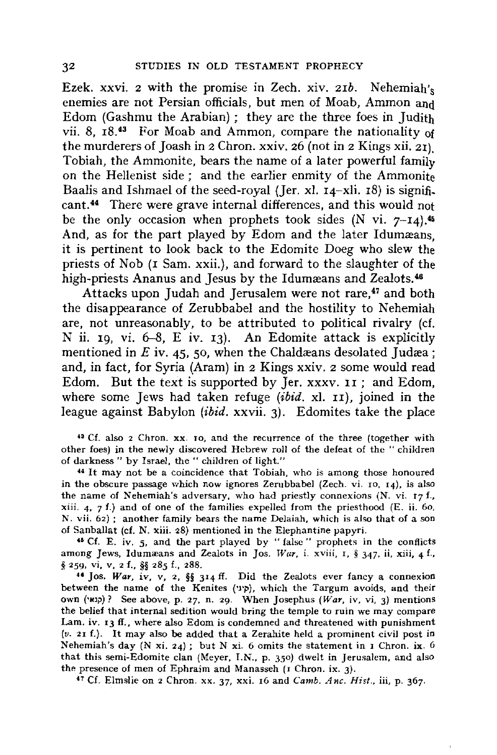Ezek. xxvi. 2 with the promise in Zech. xiv. *21b.* Nehemiah's enemies are not Persian officials, but men of Moab, Ammon and Edom (Gashmu the Arabian) ; they are the three foes in Judith vii. 8,  $18^{43}$  For Moab and Ammon, compare the nationality of the murderers of Joash in 2 Chron. xxiv. 26 (not in 2 Kings xii. 21). Tobiah, the Ammonite, bears the name of a later powerful family on the Hellenist side ; and the earlier enmity of the Ammonite Baalis and Ishmael of the seed-royal (Jer. xl.  $I_4$ -xli. 18) is significant.<sup>44</sup> There were grave internal differences, and this would not be the only occasion when prophets took sides  $(N \text{ vi. } 7-14)$ .<sup>45</sup> And, as for the part played by Edom and the later Idumæans. it is pertinent to look back to the Edomite Doeg who slew the priests of Nob (1 Sam. **xxii.),** and forward to the slaughter of the high-priests Ananus and Jesus by the Idumæans and Zealots.<sup>46</sup>

Attacks upon Judah and Jerusalem were not rare,<sup>47</sup> and both the disappearance of Zerubbabel and the hostility to Nehemiah are, not unreasonably, to be attributed to political rivalry (cf. N ii. 19, vi.  $6-8$ , E iv. 13). An Edomite attack is explicitly mentioned in  $E$  iv. 45, 50, when the Chaldaeans desolated Judae: and, in fact, for Syria (Aram) in 2 Kings xxiv. 2 some would read Edom. But the text is supported by Jer. xxxv. II; and Edom, where some Jews had taken refuge  $(ibiid. xl. 11)$ , joined in the league against Babylon (ibid. xxvii. 3). Edomites take the place

<sup>43</sup> Cf. also 2 Chron. xx. 10, and the recurrence of the three (together with other foes) in the newly discovered Hebrew roll of the defeat of the " children of darkness " by Israel, the " children of light."

<sup>44</sup>It may not be a coincidence that Tobiah. who is among those honoured in the obscure passage which now ignores Zerubbabel (Zech. vi. 10, 14), is also the name of Nehemiah's adversary, who had priestly connexions (N. vi.  $17 f$ , xiii. 4,  $7 f$ .) and of one of the families expelled from the priesthood (E. ii. 60, N. vii. 62) ; another family bears the name Delaiah, which is also that of a son of Sanballat (cf. **N. xiii.** 28) mentioned in the Elephantine papyri.

**u** Cf. E. iv. *5,* and the part played by " false" prophets in the conflicts among Jews, Idumæans and Zealots in Jos. *War*, i. xviii, 1, § 347, ii, xiii, 4 f., § 259, Vi, V, 2 f., §§ 285 f., 288. 41 Jos. *War,* iv, v, 2, §§ 314 ff. Did the Zealots ever fancy a connexion

between the name of the Kenites (שיני), which the Targum avoids, and their own ('Hlp)? See above, p. 27, n. 29. When Josephus *(War,* iv, vi, 3) mentions the belief that internal sedition would bring the temple to ruin we may compare Lam. iv. 13 ff., where also Edom is condemned and threatened with punishment (v. 21 f.). It may also be added that a Zerahite held a prominent civil post in Nehemiah's day (N xi. 24) ; but N xi. 6 omits the statement in 1 Chron. ix. 6 that this semi-Edomite clan (Meyer, I.N., p. 350) dwelt in Jerusalem, and also the presence of men of Ephraim and Manasseh (r Chron. ix. 3). 47 Cf. Elmslie on 2 Chron. xx. 37, xxi. 16 and *Camb. Anc. Hist.,* iii, p. 367.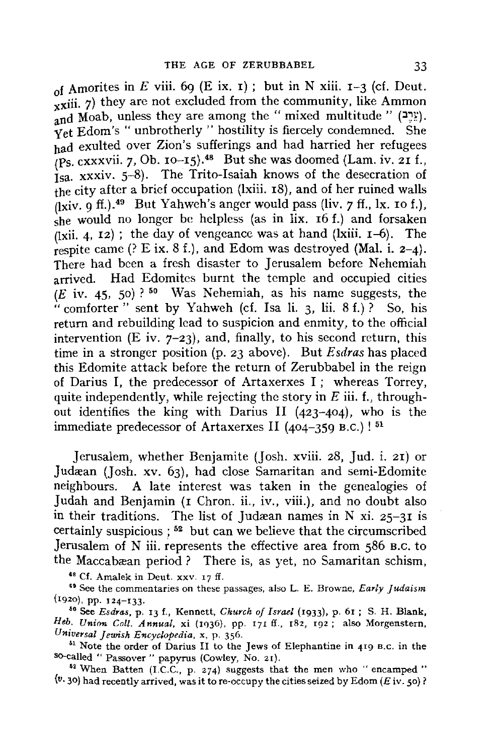of Amorites in E viii. 69 (E ix. 1); but in N xiii.  $I-3$  (cf. Deut. **xxiii.** 7) they are not excluded from the community, like Ammon  $\lim_{\text{and} \text{Mod}} V$  (יָבֶבּ). and Moab, unless they are among the " mixed multitude " (יָבֶבּ). Yet Edom's "unbrotherly " hostility is fiercely condemned. She had exulted over Zion's sufferings and had harried her refugees  $(P<sub>S.</sub> cxxxvii. 7, Ob. 10-15).$ <sup>48</sup> But she was doomed (Lam. iv. 21 f.,  $I_{\text{S}a.}$  xxxiv. 5-8). The Trito-Isaiah knows of the desecration of the city after a brief occupation (lxiii. 18), and of her ruined walls  $(i$ <sub>xi</sub>v. 9 ff.).<sup>49</sup> But Yahweh's anger would pass (liv. 7 ff., lx. 10 f.). she would no longer be helpless (as in  $\overrightarrow{hx}$ . 16 f.) and forsaken  $\lim_{x \to a}$  (lxii. 4, 12); the day of vengeance was at hand (lxiii. 1–6). The respite came  $($ ? E ix. 8 f.), and Edom was destroyed (Mal. i. 2-4). There had been a fresh disaster to Jerusalem before Nehemiah arrived. Had Edomites burnt the temple and occupied cities  $(E$  iv. 45, 50)?<sup>50</sup> Was Nehemiah, as his name suggests, the "comforter" sent by Yahweh (cf. Isa li. 3, lii.  $8 f$ .)? So, his return and rebuilding lead to suspicion and enmity, to the official intervention (E iv.  $7-23$ ), and, finally, to his second return, this time in a stronger position (p. 23 above). But *Esdras* has placed this Edomite attack before the return of Zerubbabel in the reign of Darius I, the predecessor of Artaxerxes I; whereas Torrey, quite independently, while rejecting the story in  $E$  iii. f., throughout identifies the king with Darius II (423-404), who is the immediate predecessor of Artaxerxes II (404-359 B.C.) ! 51

Jerusalem, whether Benjamite (Josh. xviii. 28, Jud. i. 21) or Judæan (Josh. xv. 63), had close Samaritan and semi-Edomite neighbours. A late interest was taken in the genealogies of Judah and Benjamin (1 Chron. ii., iv., viii.), and no doubt also in their traditions. The list of Judæan names in N xi.  $25-31$  is certainly suspicious ; 52 but can we believe that the circumscribed Jerusalem of N iii. represents the effective area from 586 B.C. to the Maccabæan period ? There is, as yet, no Samaritan schism,

<sup>48</sup> Cf. Amalek in Deut. xxv. 17 ff.<br><sup>49</sup> See the commentaries on these passages, also L. E. Browne, *Early Judaism* (r920), pp. 124-133.

ao See *Esdras,* p. 13 f., Kennett, *Church of Israel* (1933), p. 61 ; S. H. Blank, *Heb. Union Coll. Annual,* xi (1q36). pp. 171 ff., 182, 192; also Morgenstern, *Universal Jewish Encyclopedia,* x, p. 356.

<sup>51</sup> Note the order of Darius II to the Jews of Elephantine in 419 B.c. in the so-called " Passover" papyrus (Cowley, No. 21).

<sup>52</sup>When Batten (1.C.C., p. 274) suggests that the men who "encamped "  $(v, 30)$  had recently arrived, was it to re-occupy the cities seized by Edom (*E* iv. 50)?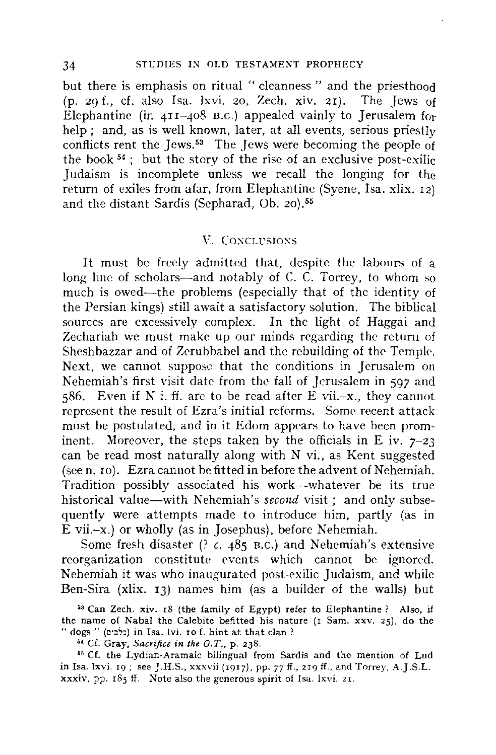but there is emphasis on ritual " cleanness " and the priesthood (p. 29 f., cf. also Isa. lxvi. 20, Zech. xiv. 21). The Jews of Elephantine (in  $41I-408$  B.C.) appealed vainly to Jerusalem for help ; and, as is well known, later, at all events, serious priestly conflicts rent the Jews.<sup>53</sup> The Jews were becoming the people of the book  $54$ ; but the story of the rise of an exclusive post-exilic Judaism is incomplete unless we recall the longing for the return of exiles from afar, from Elephantine (Syene, Isa. xlix. 12) and the distant Sardis (Sepharad, Ob. 20).56

#### V. Conclinstons

It must be freely admitted that, despite the labours of a long line of scholars—and notably of C. C. Torrey, to whom so much is owed-the problems (especially that of the identity of the Persian kings) still await a satisfactory solution. The biblical sources are excessively complex. In the light of Haggai and Zechariah we must make up our minds regarding *the* return of Sheshbazzar and of Zcrubbabcl and the rebuilding of the Temple. Next, we cannot suppose that the conditions in Jerusalem on Nehemiah's first visit date from the fall of Jerusalem in 597 and 586. Even if N i. ff. are to be read after E vii. $-x$ . they cannot represent the result of Ezra's initial reforms. Some recent attack must be postulated, and in it Edom appears to have been prominent. Moreover, the steps taken by the officials in E iv.  $7-23$ can be read most naturally along with N vi., as Kent suggested (seen. 10). Ezra cannot be fitted in before the advent of Nehemiah. Tradition possibly associated his work-whatever be its true historical value-with Nehemiah's *second* visit; and only subsequently were attempts made to introduce him, partly (as in E vii.-x.) or wholly (as in Josephus), before Nehemiah.

Some fresh disaster (? *c.* 485 B.C.) and Nehemiah's extensive reorganization constitute events which cannot be ignored. Nehemiah it was who inaugurated post-exilic Judaism, and while Ben-Sira (xlix. 13) names him (as a builder of the walls) but

<sup>53</sup> Can Zech. xiv. 18 (the family of Egypt) refer to Elephantine ? Also, if the name of Nabal the Calebite befitted his nature (1 Sam. xxv. 25), do the " dogs " (o•JSJ) in Isa. lvi. ro f. hint at that clan ?

<sup>54</sup> Cf. Gray, *Sacrifice in the O.T.*, p. 238.

•• Cf. the Lydian-Aramaic bilingual from Sardis and the mention of Lud in Isa. !xvi. 19; see J.H.S., xxxvii (1917), pp. 77 ff., 219 ff., and Torrey, A.J.S.L. xxxiv, pp. 185 ff. Note also the generous spirit of Isa. lxvi. 21.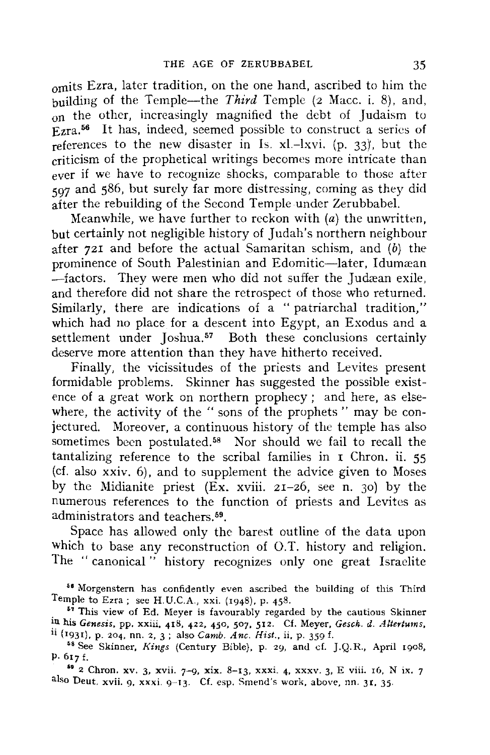omits Ezra, later tradition, on the one hand, ascribed to him the building of the Temple-the *Third* Temple (2 Mace. i. 8), and, on the other, increasingly magnified the debt of Judaism to  $E_{zra.}$ <sup>56</sup> It has, indeed, seemed possible to construct a series of references to the new disaster in Is.  $x$ l.-lxvi. (p. 33), but the criticism of the prophetical writings becomes more intricate than ever if we have to recognize shocks, comparable to those after 597 and 586, but surely far more distressing, coming as they did after the rebuilding of the Second Temple under Zerubbabel.

Meanwhile, we have further to reckon with  $(a)$  the unwritten, but certainly not negligible history of Judah's northern neighbour after 721 and before the actual Samaritan schism, and  $(b)$  the prominence of South Palestinian and Edomitic-later, Idumæan  $-$ factors. They were men who did not suffer the Judæan exile, and therefore did not share the retrospect of those who returned. Similarly, there are indications of a " patriarchal tradition," which had no place for a descent into Egypt, an Exodus and a settlement under Joshua.<sup>57</sup> Both these conclusions certainly deserve more attention than they have hitherto received.

Finally, the vicissitudes of the priests and Levites present formidable problems. Skinner has suggested the possible existence of a great work on northern prophecy ; and here, as elsewhere, the activity of the " sons of the prophets " may be conjectured. Moreover, a continuous history of the temple has also sometimes been postulated.<sup>58</sup> Nor should we fail to recall the tantalizing reference to the scribal families in  $\bar{r}$  Chron. ii. 55 (cf. also xxiv. 6), and to supplement the advice given to Moses by the Midianite priest  $(Ex. xviii. 2I-26,$  see n. 30) by the numerous references to the function of priests and Levites as administrators and teachers.<sup>59</sup>.

Space has allowed only the barest outline of the data upon which to base any reconstruction of O.T. history and religion. The "canonical" history recognizes only one great Israelite

<sup>••</sup> Morgenstern has confidently even ascribed the building of this Third Temple to Ezra; see H.U.C.A., xxi. (1948), p. 458.

<sup>&</sup>lt;sup>57</sup> This view of Ed. Meyer is favourably regarded by the cautious Skinner in his Genesis, pp. xxiii, 418, 422, 450, 507, 512. Cf. Meyer, Gesch. d. Altertums, ii (1931), p. 204, nn. 2, 3; also Camb. Anc. Hist., ii, p. 359 f.  $58$  See Skinner, Kings (Century Bible), p. 29, and cf. J.Q.R., April 1

p. 617 f.

<sup>•• 2</sup> Chron. xv. 3, xvii. 7-9, xix. 8-13, xxxi. 4, xxxv. 3, E viii. 16, N ix. 7 also Deut. xvii. 9, xxxi. 9-13. Cf. esp. Smend's work, above, nn. 31, 35.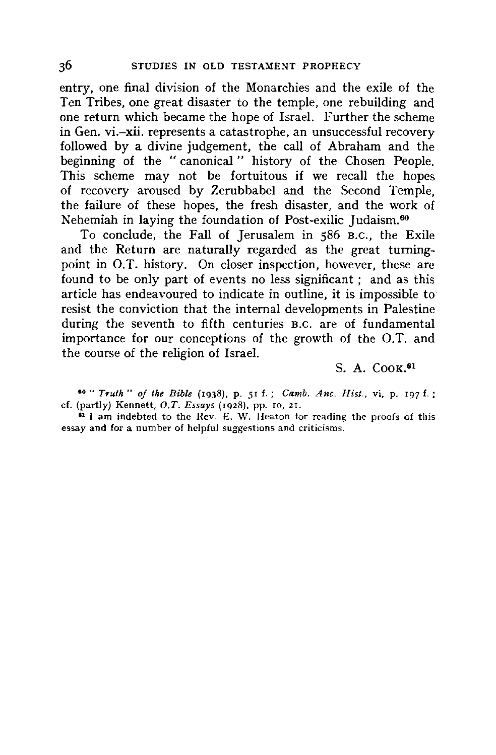entry, one final division of the Monarchies and the exile of the Ten Tribes, one great disaster to the temple, one rebuilding and one return which became the hope of Israel. Further the scheme in Gen. vi.-xii. represents a catastrophe, an unsuccessful recovery followed by a divine judgement, the call of Abraham and the beginning of the " canonical " history of the Chosen People. This scheme may not be fortuitous if we recall the hopes of recovery aroused by Zerubbabel and the Second Temple, the failure of these hopes, the fresh disaster, and the work of Nehemiah in laying the foundation of Post-exilic Judaism.60

To conclude, the Fall of Jerusalem in *586* B.c., the Exile and the Return are naturally regarded as the great turningpoint in O.T. history. On closer inspection, however, these are found to be only part of events no less significant ; and as this article has endeavoured to indicate in outline, it is impossible to resist the conviction that the internal developments in Palestine during the seventh to fifth centuries B.C. are of fundamental importance for our conceptions of the growth of the O.T. and the course of the religion of Israel.

S. A. CooK.<sup>61</sup>

• 0 " *Truth* " *of the Bible* (1938), p. 51 f.; *Camb. Anc. Hist.,* vi, p. 197 f. ; cf. (partly) Kennett, *O.T. Essays* (1928), pp. ro, 2r.

<sup>61</sup> I am indebted to the Rev. E. W. Heaton for reading the proofs of this essay and for a number of helpful suggestions and criticisms.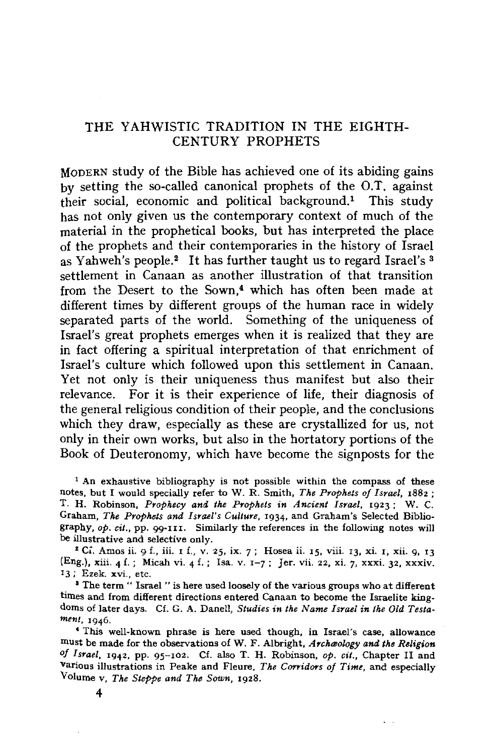### THE YAHWISTIC TRADITION IN THE EIGHTH-CENTURY PROPHETS

MODERN study of the Bible has achieved one of its abiding gains by setting the so-called canonical prophets of the O.T. against their social, economic and political background.1 This study has not only given us the contemporary context of much of the material in the prophetical books, but has interpreted the place of the prophets and their contemporaries in the history of Israel as Yahweh's people.<sup>2</sup> It has further taught us to regard Israel's <sup>3</sup> settlement in Canaan as another illustration of that transition from the Desert to the Sown.<sup>4</sup> which has often been made at different times by different groups of the human race in widely separated parts of the world. Something of the uniqueness of Israel's great prophets emerges when it is realized that they are in fact offering a spiritual interpretation of that enrichment of Israel's culture which followed upon this settlement in Canaan. Yet not only is their uniqueness thus manifest but also their relevance. For it is their experience of life, their diagnosis of the general religious condition of their people, and the conclusions which they draw, especially as these are crystallized for us, not only in their own works, but also in the hortatory portions of the Book of Deuteronomy, which have become the signposts for the

<sup>1</sup> An exhaustive bibliography is not possible within the compass of these notes, but I would specially refer to W. R. Smith, *The Prophets of Israel,* 1882 ; T. H. Robinson, *Prophecy and the Prophets in Ancient Israel,* 1923; W. C. Graham, *The Prophets and Israel's Culture,* 1934, and Graham's Selected Bibliography, *op. cit.,* pp. 99-1u. Similarly the references in the following notes will be illustrative and selective only.<br><sup>2</sup> Ci. Amos ii. 9 f., iii. r f., v. 25, ix. 7; Hosea ii. 15, viii. 13, xi. 1, xii. 9, 13

(Eng.), xiii. 4 f.; Micah vi. 4 f.; Isa. v. 1-7; Jer. vii. 22, xi. 7, xxxi. 32, xxxiv. 13 ; Ezek. **xvi.,** etc.

<sup>3</sup> The term " Israel " is here used loosely of the various groups who at different times and from different directions entered Canaan to become the Israelite kingdoms of later days. Cf. G. A. Danell, *Studies in the Name Israel in the Old Testament,* 1946.

• This well-known phrase is here used though, in Israel's case, allowance must be made for the observations of W. F. Albright, *AYclueology and the Religion of Israel,* 1942, pp. 95-102. Cf. also T. H. Robinson, *op. cit.,* Chapter II and various illustrations in Peake and Fleure, *The Corridors of Time*, and especially Volume v, *The Steppe and The Sown,* 1928.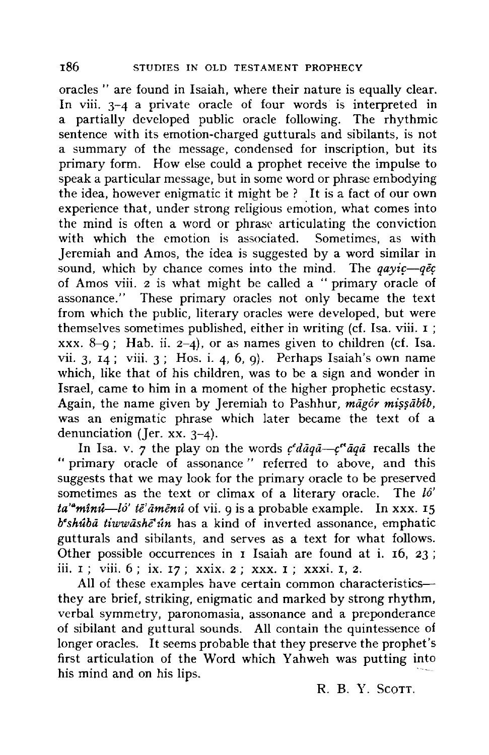oracles " are found in Isaiah, where their nature is equally clear. In viii. 3-4 a private oracle of four words is interpreted in a partially developed public oracle following. The rhythmic sentence with its emotion-charged gutturals and sibilants, is not a summary of the message, condensed for inscription, but its primary form. How else could a prophet receive the impulse to speak a particular message, but in some word or phrase embodying the idea, however enigmatic it might be ? It is a fact of our own experience that, under strong religious emotion, what comes into the mind is often a word or phrase articulating the conviction with which the emotion is associated. Sometimes, as with Jeremiah and Amos, the idea is suggested by a word similar in sound, which by chance comes into the mind. The  $q \alpha y i \epsilon - q \bar{\epsilon} c$ of Amos viii. 2 is what might be called a "primary oracle of assonance." These primary oracles not only became the text from which the public, literary oracles were developed, but were themselves sometimes published, either in writing (cf. Isa. viii. I; xxx. 8-9; Hab. ii.  $2-4$ ), or as names given to children (cf. Isa. vii. 3,  $14$ ; viii. 3; Hos. i. 4, 6, 9). Perhaps Isaiah's own name which, like that of his children, was to be a sign and wonder in Israel, came to him in a moment of the higher prophetic ecstasy. Again, the name given by Jeremiah to Pashhur, *magór missabib*, was an enigmatic phrase which later became the text of a denunciation (Jer. xx. 3-4).

In Isa. v. 7 the play on the words  $c^d \tilde{a} q \tilde{a} - c^{d} \tilde{a} q \tilde{a}$  recalls the " primary oracle of assonance " referred to above, and this suggests that we may look for the primary oracle to be preserved sometimes as the text or climax of a literary oracle. The *l6'*  ta'<sup>a</sup>mînû-lô' të' amenu of vii. 9 is a probable example. In xxx. 15 *b*<sup>\*</sup>shu<sup>t</sup>a tiwwashe<sup>\*</sup>in has a kind of inverted assonance, emphatic gutturals and sibilants, and serves as a text for what follows. Other possible occurrences in I Isaiah are found at i. 16, 23; iii. 1 ; viii. 6 ; ix. 17 ; xxix. 2 ; xxx. I ; xxxi. I, 2.

All of these examples have certain common characteristics-they are brief, striking, enigmatic and marked by strong rhythm, verbal symmetry, paronomasia, assonance and a preponderance of sibilant and guttural sounds. All contain the quintessence of longer oracles. It seems probable that they preserve the prophet's first articulation of the Word which Yahweh was putting into his mind and on his lips.

R. B. Y. ScoTT.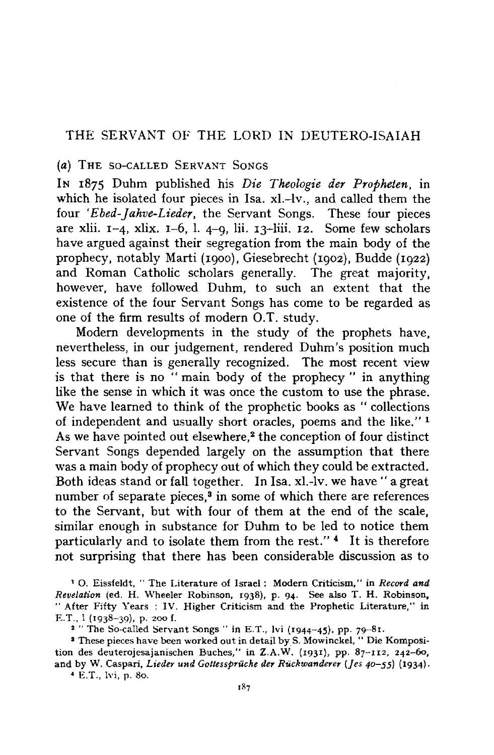#### THE SERVANT OF THE LORD IN DEUTERO-ISAIAH

#### (a) THE SO-CALLED SERVANT SONGS

IN 1875 Duhm published his *Die Theologie der Propheten,* in which he isolated four pieces in Isa. xl.-lv., and called them the four *'Ebed-Jahve-Lieder,* the Servant Songs. These four pieces are xlii.  $1-4$ , xlix.  $1-6$ , l.  $4-9$ , lii.  $13$ -liii.  $12$ . Some few scholars have argued against their segregation from the main body of the prophecy, notably Marti (1900). Giesebrecht (1902), Budde (1922) and Roman Catholic scholars generally. The great majority, however, have followed Duhm, to such an extent that the existence of the four Servant Songs has come to be regarded as one of the firm results of modem Q.T. study.

Modem developments in the study of the prophets have, nevertheless, in our judgement, rendered Duhm's position much less secure than is generally recognized. The most recent view is that there is no " main body of the prophecy " in anything like the sense in which it was once the custom to use the phrase. We have learned to think of the prophetic books as "collections of independent and usually short oracles, poems and the like." 1 As we have pointed out elsewhere,<sup>2</sup> the conception of four distinct Servant Songs depended largely on the assumption that there was a main body of prophecy out of which they could be extracted. Both ideas stand or fall together. In Isa. xl.-lv. we have "a great number of separate pieces,<sup>3</sup> in some of which there are references to the Servant, but with four of them at the end of the scale, similar enough in substance for Duhm to be led to notice them particularly and to isolate them from the rest." 4 It is therefore not surprising that there has been considerable discussion as to

<sup>1</sup> O. Eissfeldt, " The Literature of Israel : Modern Criticism," in *Record and Revelation* (ed. H. Wheeler Robinson, 1938), p. 94. See also T. H. Robinson, "After Fifty Years : IV. Higher Criticism and the Prophetic Literature," in E.T., l (1938-39), p. 200 f.

2 " The So-called Servant Songs " in E.T., lvi (1944-45), pp. 79-81.

3 These pieces have been worked out in detail by S. Mowinckel, " Die Komposition des deuterojesajanischen Buches," in Z.A.W. (1931), pp. 87-112, 242-60, and by W. Caspari, *Lieder und Gottessprüche der Rückwanderer* (Jes 40-55) (1934).

• E.T., l\'i, p. 80.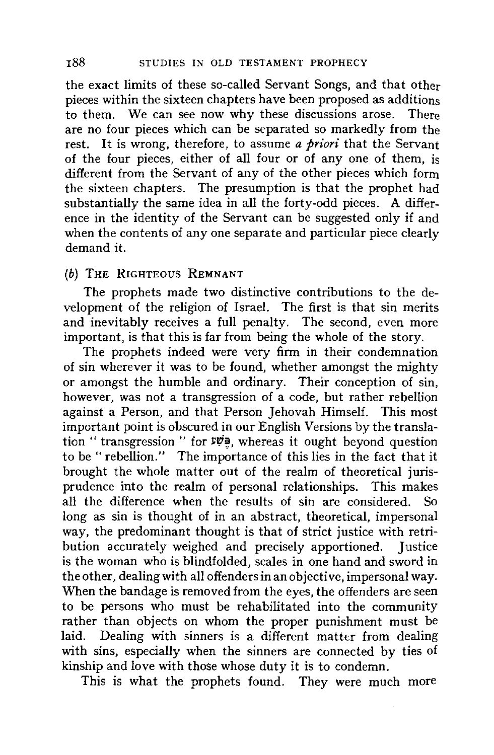the exact limits of these so-called Servant Songs, and that other pieces within the sixteen chapters have been proposed as additions to them. We can see now why these discussions arose. There are no four pieces which can be separated so markedly from the rest. It is wrong, therefore, to assume *a priori* that the Servant of the four pieces, either of all four or of any one of them, is different from the Servant of any of the other pieces which form the sixteen chapters. The presumption is that the prophet had substantially the same idea in all the forty-odd pieces. A difference in the identity of the Servant can be suggested only if and when the contents of any one separate and particular piece clearly demand it.

### **(b) THE** RIGHTEOUS **REMNANT**

The prophets made two distinctive contributions to the development of the religion of Israel. The first is that sin merits and inevitably receives a full penalty. The second, even more important, is that this is far from being the whole of the story.

The prophets indeed were very firm in their condemnation of sin wherever it was to be found, whether amongst the mighty or amongst the humble and ordinary. Their conception of sin, however, was not a transgression of a code, but rather rebellion against a Person, and that Person Jehovah Himself. This most important point is obscured in our English Versions by the translation " transgression " for  $\nu$ ", whereas it ought beyond question to be " rebellion." The importance of this lies in the fact that it brought the whole matter out of the realm of theoretical jurisprudence into the realm of personal relationships. This makes all the difference when the results of sin are considered. So long as sin is thought of in an abstract, theoretical, impersonal way, the predominant thought is that of strict justice with retribution accurately weighed and precisely apportioned. Iustice bution accurately weighed and precisely apportioned. is the woman who is blindfolded, scales in one hand and sword in the other, dealing with all offenders in an objective, impersonal way. When the bandage is removed from the eyes, the offenders are seen to be persons who must be rehabilitated into the community rather than objects on whom the proper punishment must be laid. Dealing with sinners is a different matter from dealing with sins, especially when the sinners are connected by ties of kinship and love with those whose duty it is to condemn.

This is what the prophets found. They were much more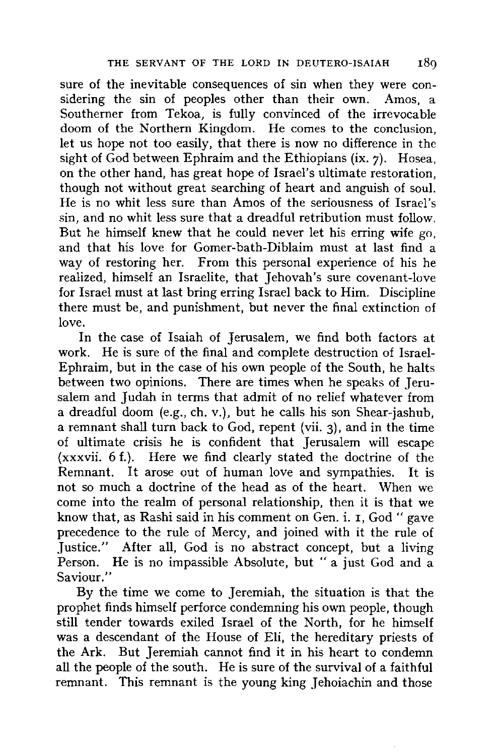sure of the inevitable consequences of sin when they were considering the sin of peoples other than their own. Amos, a Southerner from Tekoa, is fully convinced of the irrevocable doom of the Northern Kingdom. He comes to the conclusion, let us hope not too easily, that there is now no difference in the sight of  $\tilde{G}$ od between Ephraim and the Ethiopians (ix. 7). Hosea, on the other hand, has great hope of Israel's ultimate restoration, though not without great searching of heart and anguish of soul. He is no whit less sure than Amos of the seriousness of Israel's sin, and no whit less sure that a dreadful retribution must follow. But he himself knew that he could never let his erring wife go, and that his love for Gomer-bath-Diblaim must at last find a way of restoring her. From this personal experience of his he realized, himself an Israelite, that Jehovah's sure covenant-love for Israel must at last bring erring Israel back to Him. Discipline there must be, and punishment, but never the final extinction of love.

In the case of Isaiah of Jerusalem, we find both factors at work. He is sure of the final and complete destruction of Israel-Ephraim, but in the case of his own people of the South, he halts between two opinions. There are times when he speaks of Jerusalem and Judah in terms that admit of no relief whatever from a dreadful doom (e.g., eh. v.), but he calls his son Shear-jashub, a remnant shall turn back to God, repent (vii. 3), and in the time of ultimate crisis he is confident that Jerusalem will escape {xxxvii. 6 f.). Here we find clearly stated the doctrine of the Remnant. It arose out of human love and sympathies. It is not so much a doctrine of the head as of the heart. When we come into the realm of personal relationship, then it is that we know that, as Rashi said in his comment on Gen. i. I, God "gave precedence to the rule of Mercy, and joined with it the rule of Justice." After all, God is no abstract concept, but a living Person. He is no impassible Absolute, but "a just God and a Saviour."

By the time we come to Jeremiah, the situation is that the prophet finds himself perforce condemning his own people, though still tender towards exiled Israel of the North, for he himself was a descendant of the House of Eli, the hereditary priests of the Ark. But Jeremiah cannot find it in his heart to condemn all the people of the south. He is sure of the survival of a faithful remnant. This remnant is the young king Jehoiachin and those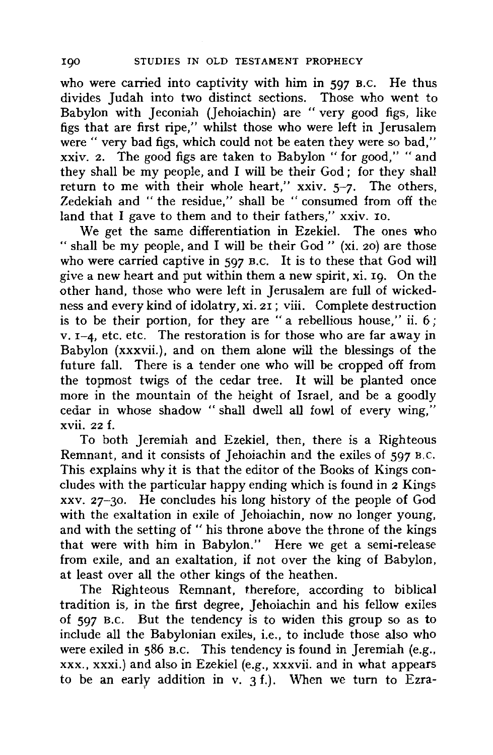who were carried into captivity with him in 597 B.C. He thus divides Judah into two distinct sections. Those who went to Babylon with Jeconiah (Jehoiachin) are "very good figs, like figs that are first ripe," whilst those who were left in Jerusalem were " very bad figs, which could not be eaten they were so bad," xxiv. 2. The good figs are taken to Babylon "for good," "and they shall be my people, and I will be their God ; for they shall return to me with their whole heart," xxiv. 5-7. The others, Zedekiah and " the residue," shall be " consumed from off the land that I gave to them and to their fathers," xxiv. 10.

We get the same differentiation in Ezekiel. The ones who " shall be my people, and I will be their God" **(xi.** 20) are those who were carried captive in 597 B.c. It is to these that God will give a new heart and put within them a new spirit, xi. 19. On the other hand, those who were left in Jerusalem are full of wickedness and every kind of idolatry, xi. 21; viii. Complete destruction is to be their portion, for they are "a rebellious house," ii. 6; v. 1-4, etc. etc. The restoration is for those who are far away in Babylon (xxxvii.), and on them alone will the blessings of the future fall. There is a tender one who will be cropped off from the topmost twigs of the cedar tree. It will be planted once more in the mountain of the height of Israel, and be a goodly cedar in whose shadow " shall dwell all fowl of every wing," xvii. 22 f.

To both Jeremiah and Ezekiel, then, there is a Righteous Remnant, and it consists of Jehoiachin and the exiles of 597 B,c. This explains why it is that the editor of the Books of Kings concludes with the particular happy ending which is found in 2 Kings xxv. 27-30. He concludes his long history of the people of God with the exaltation in exile of Jehoiachin, now no longer young, and with the setting of " his throne above the throne of the kings that were with him in Babylon." Here we get a semi-release from exile, and an exaltation, if not over the king of Babylon, at least over all the other kings of the heathen.

The Righteous Remnant, therefore, according to biblical tradition is, in the first degree, Jehoiachin and his fellow exiles of 597 B.c. But the tendency is to widen this group so as to include all the Babylonian exiles, i.e., to include those also who were exiled in 586 B.c. This tendency is found in Jeremiah (e.g., **xxx., xxxi.)** and also in Ezekiel (e.g., **xxxvii.** and in what appears to be an early addition in v.  $3 f$ .). When we turn to Ezra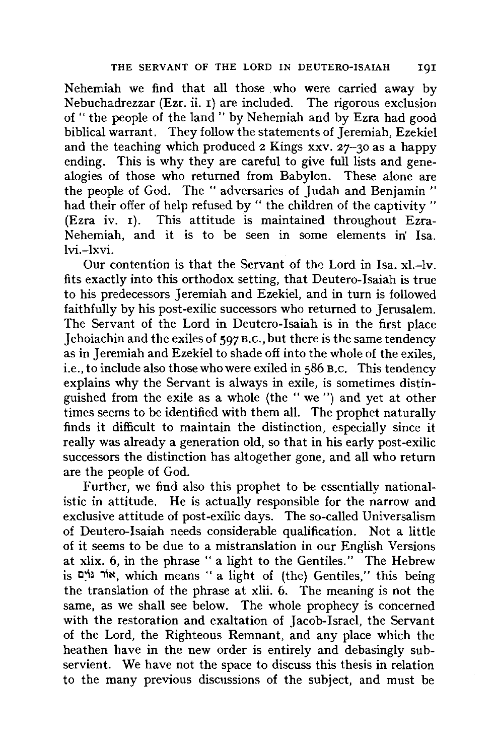Nehemiah we find that all those who were carried away by Nebuchadrezzar (Ezr. ii. 1) are included. The rigorous exclusion of " the people of the land" by Nehemiah and by Ezra had good biblical warrant. They follow the statements of Jeremiah, Ezekiel and the teaching which produced 2 Kings xxv. 27-30 as a happy ending. This is why they are careful to give full lists and genealogies of those who returned from Babylon. These alone are the people of God. The "adversaries of Judah and Benjamin " had their offer of help refused by " the children of the captivity " (Ezra iv. 1). This attitude is maintained throughout Ezra-Nehemiah, and it is to be seen in some elements in' Isa. lvi.-lxvi.

Our contention is that the Servant of the Lord in Isa. xl.-lv. fits exactly into this orthodox setting, that Deutero-Isaiah is true to his predecessors Jeremiah and Ezekiel, and in turn is followed faithfully by his post-exilic successors who returned to Jerusalem. The Servant of the Lord in Deutero-Isaiah is in the first place Jehoiachin and the exiles of 597 B.c., but there is the same tendency as in Jeremiah and Ezekiel to shade off into the whole of the exiles, i.e., to include also those who were exiled in 586 B.c. This tendency explains why the Servant is always in exile, is sometimes distinguished from the exile as a whole (the " we ") and yet at other times seems to be identified with them all. The prophet naturally finds it difficult to maintain the distinction, especially since it really was already a generation old, so that in his early post-exilic successors the distinction has altogether gone, and all who return are the people of God.

Further, we find also this prophet to be essentially nationalistic in attitude. He is actually responsible for the narrow and exclusive attitude of post-exilic days. The so-called Universalism of Deutero-Isaiah needs considerable qualification. Not a little of it seems to be due to a mistranslation in our English Versions at **xlix.** 6, in the phrase " a light to the Gentiles." The Hebrew is **eing**, which means " a light of (the) Gentiles," this being the translation of the phrase at xlii. 6. The meaning is not the same, as we shall see below. The whole prophecy is concerned with the restoration and exaltation of Jacob-Israel, the Servant of the Lord, the Righteous Remnant, and any place which the heathen have in the new order is entirely and debasingly subservient. We have not the space to discuss this thesis in relation to the many previous discussions of the subject, and must be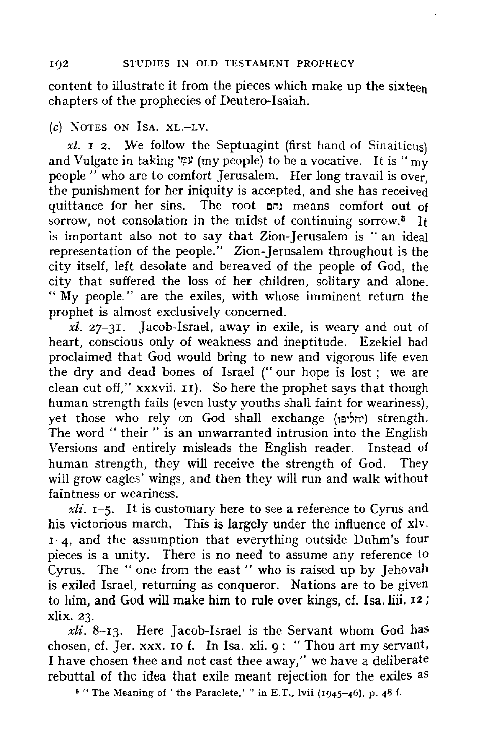content to illustrate it from the pieces which make up the sixteen chapters of the prophecies of Deutero-Isaiah.

## (c) NOTES ON IsA. XL.-LV.

 $x\ell$ . **I**-2. We follow the Septuagint (first hand of Sinaiticus) and Vulgate in taking  $\varphi$  (my people) to be a vocative. It is " my people " who are to comfort Jerusalem. Her long travail is over, the punishment for her iniquity is accepted, and she has received quittance for her sins. The root **O~J** means comfort out of sorrow, not consolation in the midst of continuing sorrow.<sup> $5$ </sup> It is important also not to say that Zion-Jerusalem is "an ideal representation of the people." Zion-Jerusalem throughout is the city itself, left desolate and bereaved of the people of God, the city that suffered the loss of her children, solitary and alone. " My people." are the exiles, with whose imminent return the prophet is almost exclusively concerned.

*xl.* 27-3r. Jacob-Israel, away in exile, is weary and out of heart, conscious only of weakness and ineptitude. Ezekiel had proclaimed that God would bring to new and vigorous life even the dry and dead bones of Israel (" our hope is lost ; we are clean cut off," **xxxvii.** II). So here the prophet says that though human strength fails (even lusty youths shall faint for weariness), yet those who rely on God shall exchange (יחליפו) strength. The word "their" is an unwarranted intrusion into the English Versions and entirely misleads the English reader. Instead of human strength, they will receive the strength of God. They will grow eagles' wings, and then they will run and walk without faintness or weariness.

*xli.* 1-5. It is customary here to see a reference to Cyrus and his victorious march. This is largely under the influence of xiv. 1-4, and the assumption that everything outside Duhm's four pieces is a unity. There is no need to assume any reference to Cyrus. The "one from the east" who is raised up by Jehovah is exiled Israel, returning as conqueror. Nations are to be given to him, and God will make him to rule over kings, cf. Isa. liii. 12 ; xlix. 23.

*xli.* 8-13. Here Jacob-Israel is the Servant whom God has chosen, cf. Jer. **xxx.** ro f. In Isa. **xii.** 9: "Thou art my servant, I have chosen thee and not cast thee away," we have a deliberate rebuttal of the idea that exile meant rejection for the exiles as

 $5$  "The Meaning of 'the Paraclete,'" in E.T., lvii (1945-46), p. 48 f.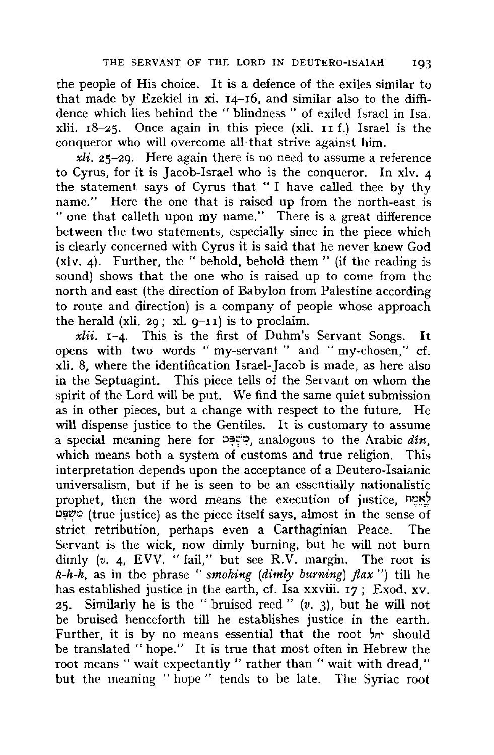the people of His choice. It is a defence of the exiles similar to that made by Ezekiel in xi. 14-16, and similar also to the diffidence which lies behind the " blindness " of exiled Israel in Isa. xlii. 18-25. Once again in this piece (xli. II f.) Israel is the conqueror who will overcome all that strive against him.

*xli.* 25-29. Here again there is no need to assume a reference to Cyrus, for it is Jacob-Israel who is the conqueror. In xlv. 4 the statement says of Cyrus that " I have called thee by thy name." Here the one that is raised up from the north-east is " one that calleth upon my name." There is a great difference between the two statements, especially since in the piece which is clearly concerned with Cyrus it is said that he never knew God (xlv. 4). Further, the " behold, behold them" (if the reading is sound) shows that the one who is raised up to come from the north and east (the direction of Babylon from Palestine according to route and direction) is a company of people whose approach the herald (xli. 29; xl.  $q-TI$ ) is to proclaim.

*xlii.* 1-4. This is the first of Duhm's Servant Songs. It opens with two words " my-servant " and " my-chosen," cf. xli. 8, where the identification Israel-Jacob is made, as here also in the Septuagint. This piece tells of the Servant on whom the spirit of the Lord will be put. We find the same quiet submission as in other pieces, but a change with respect to the future. He will dispense justice to the Gentiles. It is customary to assume a special meaning here for  $\mathcal{Q}^{\text{new}}$ , analogous to the Arabic din, which means both a system of customs and true religion. This interpretation depends upon the acceptance of a Deutero-Isaianic universalism, but if he is seen to be an essentially nationalistic prophet, then the word means the execution of justice,  $n2^2$  $p_{\mathcal{P}}$  (true justice) as the piece itself says, almost in the sense of strict retribution, perhaps even a Carthaginian Peace. The Servant is the wick, now dimly burning, but he will not bum dimly (v. 4, EVV. "fail," but see R.V. margin. The root is *k-h-h,* as in the phrase " *smoking (dimly burning) flax* ") till he has established justice in the earth, cf. Isa xxviii. 17; Exod. xv. 25. Similarly he is the " bruised reed " (v. 3). but he will not be bruised henceforth till he establishes justice in the earth. Further, it is by no means essential that the root  $\gamma$  should be translated "hope." It is true that most often in Hebrew the root means "wait expectantly" rather than "wait with dread," but the meaning " hope " tends to be late. The Syriac root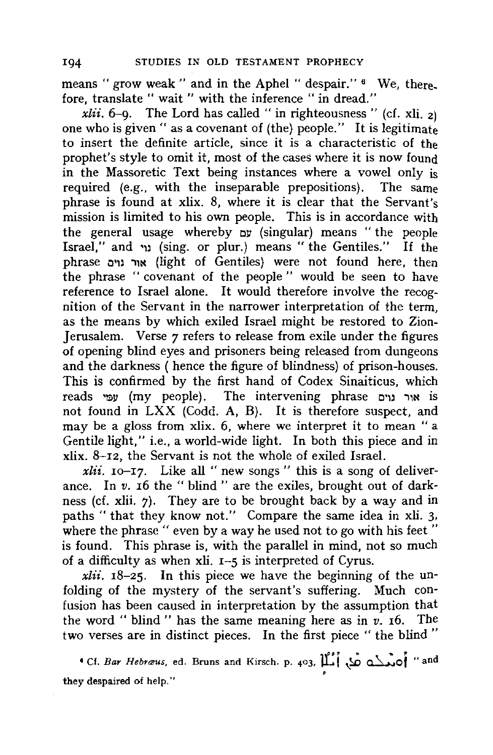means "grow weak" and in the Aphel "despair." <sup>6</sup> We, there. fore, translate " wait " with the inference " in dread."

*xlii.*  $6-9$ . The Lord has called " in righteousness " (cf. xli. 2) one who is given " as a covenant of (the) people." It is legitimate to insert the definite article, since it is a characteristic of the prophet's style to omit it, most of the cases where it is now found in the Massoretic Text being instances where a vowel only is required (e.g., with the inseparable prepositions). The same phrase is found at **xlix.** 8, where it is clear that the Servant's mission is limited to his own people. This is in accordance with the general usage whereby  $\mathbf{v}$ . (singular) means "the people Israel," and •u (sing. or plur.) means " the Gentiles." If the phrase o•,, .,,N (light of Gentiles) were not found here, then the phrase "covenant of the people" would be seen to have reference to Israel alone. It would therefore involve the recognition of the Servant in the narrower interpretation of the term, as the means by which exiled Israel might be restored to Zion-Jerusalem. Verse  $\gamma$  refers to release from exile under the figures of opening blind eyes and prisoners being released from dungeons and the darkness ( hence the figure of blindness) of prison-houses. This is confirmed by the first hand of Codex Sinaiticus, which reads *יור נרים* (my people). The intervening phrase אור נרים not found in LXX (Codd. A, B). It is therefore suspect, and may be a gloss from xlix. 6, where we interpret it to mean "a Gentile light," i.e., a world-wide light. In both this piece and in **xlix.** 8-12, the Servant is not the whole of exiled Israel.

*xlii.* 10-17. Like all " new songs " this is a song of deliverance. In *v*. 16 the " blind " are the exiles, brought out of darkness (cf. xlii. 7). They are to be brought back by a way and in paths " that they know not." Compare the same idea in xli. 3, where the phrase " even by a way he used not to go with his feet" is found. This phrase is, with the parallel in mind, not so much of a difficulty as when xli. 1-5 is interpreted of Cyrus.

*xlii.* 18-25. In this piece we have the beginning of the unfolding of the mystery of the servant's suffering. Much confusion has been caused in interpretation by the assumption that the word "blind" has the same meaning here as in *v.* 16. The two verses are in distinct pieces. In the first piece " the blind "

<sup>4</sup> Cf. *Bar Hebræus*, ed. Bruns and Kirsch. p. 403,  $\prod_{i=1}^{n} \phi_i$  and  $\prod_{i=1}^{n} \phi_i$  and they despaired of help."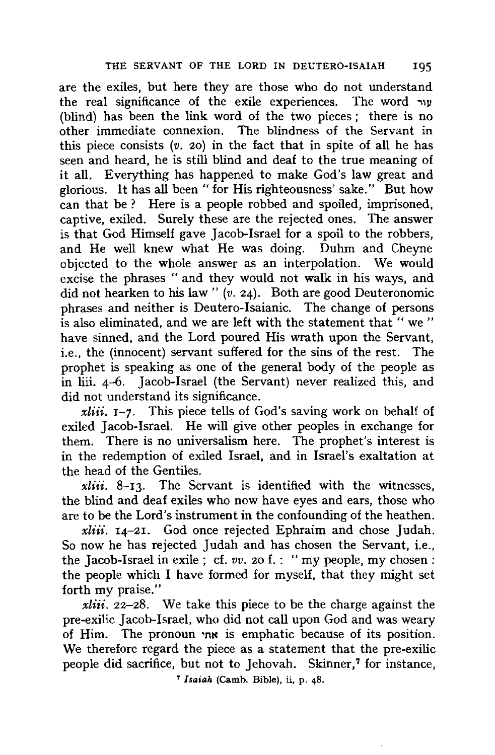are the exiles, but here they are those who do not understand the real significance of the exile experiences. The word *-.,y*  (blind) has been the link word of the two pieces ; there is no other immediate connexion. The blindness of the Servant in this piece consists  $(v. 20)$  in the fact that in spite of all he has seen and heard, he is still blind and deaf to the true meaning of it all. Everything has happened to make God's law great and glorious. It has all been " for His righteousness' sake." But how can that be? Here is a people robbed and spoiled, imprisoned, captive, exiled. Surely these are the rejected ones. The answer is that God Himself gave Jacob-Israel for a spoil to the robbers, and He well knew what He was doing. Duhm and Cheyne objected to the whole answer as an interpolation. We would excise the phrases "and they would not walk in his ways, and did not hearken to his law" (v. 24). Both are good Deuteronomic phrases and neither is Deutero-lsaianic. The change of persons is also eliminated, and we are left with the statement that " we" have sinned, and the Lord poured His wrath upon the Servant, i.e., the (innocent) servant suffered for the sins of the rest. The prophet is speaking as one of the general body of the people as in liii. 4-6. Jacob-Israel (the Servant) never realized this, and did not understand its significance.

*xliii.* 1-7. This piece tells of God's saving work on behalf of exiled Jacob-Israel. He will give other peoples in exchange for them. There is no universalism here. The prophet's interest is in the redemption of exiled Israel, and in Israel's exaltation at the head of the Gentiles.

*xliii.* 8-13. The Servant is identified with the witnesses, the blind and deaf exiles who now have eyes and ears, those who are to be the Lord's instrument in the confounding of the heathen.

*xliii.* 14-21. God once rejected Ephraim and chose Judah. So now he has rejected Judah and has chosen the Servant, i.e., the Jacob-Israel in exile; cf. *vv.* 20 f. : "my people, my chosen: the people which I have formed for myself, that they might set forth my praise."

*xliii.* 22-28. We take this piece to be the charge against the pre-exilic Jacob-Israel, who did not call upon God and was weary of Him. The pronoun •n~ is emphatic because of its position. We therefore regard the piece as a statement that the pre-exilic people did sacrifice, but not to Jehovah. Skinner,<sup>7</sup> for instance,

• *Isaiah* (Camb. Bible), ii, p. 48.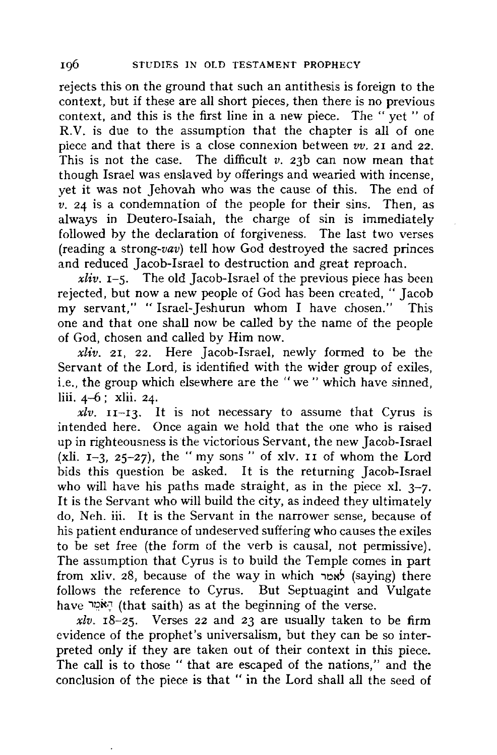rejects this on the ground that such an antithesis is foreign *to* the context, but if these are all short pieces, then there is no previous context, and this is the first line in a new piece. The "yet" of R.V. is due to the assumption that the chapter is all of one piece and that there is a close connexion between *vv.* 21 and 22. This is not the case. The difficult *v.* 23b can now mean that though Israel was enslaved by offerings and wearied with incense, yet it was not Jehovah who was the cause of this. The end of  $v.$  24 is a condemnation of the people for their sins. Then, as always in Deutero-Isaiah, the charge of sin is immediately followed hy the declaration of forgiveness. The last two verses (reading a *strong-vav)* tell how God destroyed the sacred princes and reduced Jacob-Israel to destruction and great reproach.

*xliv.*  $I-5$ . The old Jacob-Israel of the previous piece has been rejected, but now a new people of God has been created, " Jacob my servant," "Isracl-Jeshurun whom I have chosen." This one and that one shall now be called by the name of the people of God, chosen and called by Him now.

*xliv.* 21, 22. Here Jacob-Israel, newly formed to be the Servant of the Lord, is identified with the wider group of exiles, i.e., the group which elsewhere are the "we" which have sinned, liii. 4-6 ; xlii. 24.

 $xlv.$   $II-I3.$  It is not necessary to assume that Cyrus is intended here. Once again we hold that the one who is raised up in righteousness is the victorious Servant, the new Jacob-Israel (xli.  $I-3$ , 25-27), the "my sons" of xlv. II of whom the Lord bids this question be asked. It is the returning Jacob-Israel who will have his paths made straight, as in the piece xl. *3-7.*  It is the Servant who will build the city, as indeed they ultimately do, Neh. iii. It is the Servant in the narrower sense, because of his patient endurance of undeserved suffering who causes the exiles to be set free (the form of the verb is causal, not permissive). The assumption that Cyrus is to build the Temple comes in part from xliv. 28, because of the way in which **head** (saying) there follows the reference to Cyrus. But Septuagint and Vulgate have האמיר (that saith) as at the beginning of the verse.

*xlv.* 18-25. Verses 22 and 23 are usually taken to be firm evidence of the prophet's universalism, but they can be so interpreted only if they are taken out of their context in this piece. The call is to those "that are escaped of the nations," and the conclusion of the piece is that " in the Lord shall all the seed of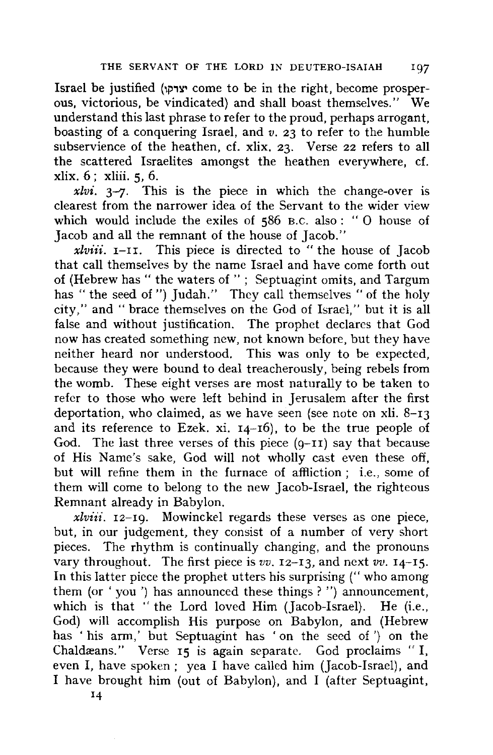Israel be justified (יצרקו come to be in the right, become prosperous, victorious, be vindicated) and shall boast themselves." We understand this last phrase to refer to the proud, perhaps arrogant, boasting of a conquering Israel, and *v.* 23 to refer to the humble subservience of the heathen, cf. xlix. 23. Verse 22 refers to all the scattered Israelites amongst the heathen everywhere, cf. xlix. 6; xliii. 5, 6.

 $xlvi.$   $3-7$ . This is the piece in which the change-over is clearest from the narrower idea of the Servant to the wider view **which** would include the exiles of 586 B.C. also: "0 house of Jacob and all the remnant of the house of Jacob."

*xlviii.* I-II. This piece is directed to "the house of Jacob that call themselves by the name Israel and have come forth out of (Hebrew has " the waters of " ; Septuagint omits, and Targum has "the seed of") Judah." They call themselves "of the holy city," and "brace themselves on the God of Israel," but it is all false and without justification. The prophet declares that God now has created something new, not known before, but they have neither heard nor understood. This was only to be expected, because they were bound to deal treacherously, being rebels from the womb. These eight verses are most naturally to be taken to refer to those who were left behind in Jerusalem after the first deportation, who claimed, as we have seen (see note on xli.  $8-13$ ) and its reference to Ezek. xi. 14-16), to be the true people of God. The last three verses of this piece  $(9-II)$  say that because of His Name's sake, God will not wholly cast even these off, but will refine them in the furnace of affliction ; i.e., some of them **will** come to belong to the new Jacob-Israel, the righteous Remnant already in Babylon.

*xlviii.* 12-19. Mowinckel regards these verses as one piece, but, in our judgement, they consist of a number of very short pieces. The rhythm is continually changing, and the pronouns vary throughout. The first piece is *vv.* 12-13, and *next vv.* 14-15. In this latter piece the prophet utters his surprising (" who among them (or ' you ') has announced these things ? ") announcement, which is that "the Lord loved Him (Jacob-Israel). He (i.e., God) will accomplish His purpose on Babylon, and (Hebrew has ' his arm,' but Septuagint has 'on the seed of ') on the Chaldæans." Verse 15 is again separate. God proclaims " I, even I, have spoken ; yea I have called him (Jacob-Israel). and I have brought him (out of Babylon), and I (after Septuagint,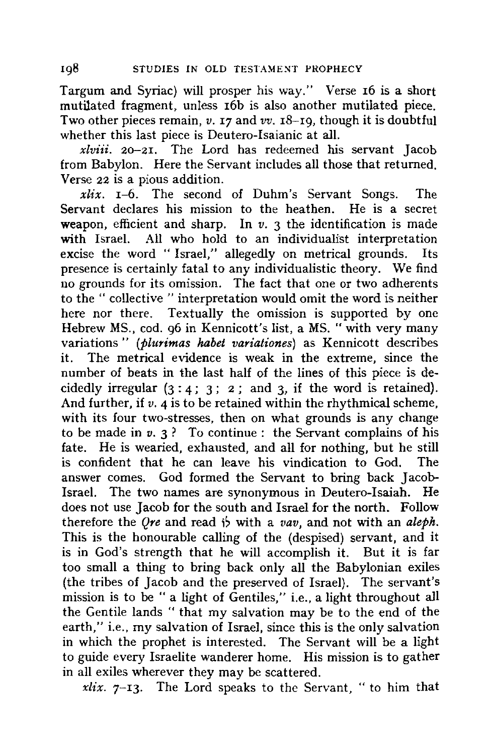Targum and Syriac) will prosper his way." Verse 16 is a short mutilated fragment, unless 16b is also another mutilated piece. Two other pieces remain, *v.* 17 and *vv.* 18-19, though it is doubtful whether this last piece is Deutero-Isaianic at all.

*xlviii.* 20-21. The Lord has redeemed his servant Jacob from Babylon. Here the Servant includes all those that returned. Verse 22 is a pious addition.

*xlix.* 1-6. The second of Duhm's Servant Songs. The Servant declares his mission to the heathen. He is a secret weapon, efficient and sharp. In *v.* 3 the identification is made with Israel. All who hold to an individualist interpretation excise the word " Israel," allegedly on metrical grounds. Its presence is certainly fatal to any individualistic theory. We find no grounds for its omission. The fact that one or two adherents to the " collective " interpretation would omit the word is neither here nor there. Textually the omission is supported by one Hebrew MS., cod. 96 in Kennicott's list, a MS. "with very many variations " *(plurimas habet variationes)* as Kennicott describes it. The metrical evidence is weak in the extreme, since the number of beats in the last half of the lines of this piece is decidedly irregular  $(3 : 4 : 3 : 2 :$  and 3, if the word is retained). And further, if *v*. 4 is to be retained within the rhythmical scheme, with its four two-stresses, then on what grounds is any change to be made in  $v. 3$ ? To continue : the Servant complains of his fate. He is wearied, exhausted, and all for nothing, but he still is confident that he can leave his vindication to God. The answer comes. God formed the Servant to bring back Jacob-Israel. The two names are synonymous in Deutero-Isaiah. He does not use Jacob for the south and Israel for the north. Follow therefore the *Ore* and read is with a *vav*, and not with an *aleph*. This is the honourable calling of the (despised) servant, and it is in God's strength that he will accomplish it. But it is far too small a thing to bring back only all the Babylonian exiles (the tribes of Jacob and the preserved of Israel). The servant's mission is to be " a light of Gentiles," i.e., a light throughout all the Gentile lands " that my salvation may be to the end of the earth," i.e., my salvation of Israel, since this is the only salvation in which the prophet is interested. The Servant will be a light to guide every Israelite wanderer home. His mission is to gather in all exiles wherever they may be scattered.

*xlix.* 7-13. The Lord speaks to the Servant, " to him that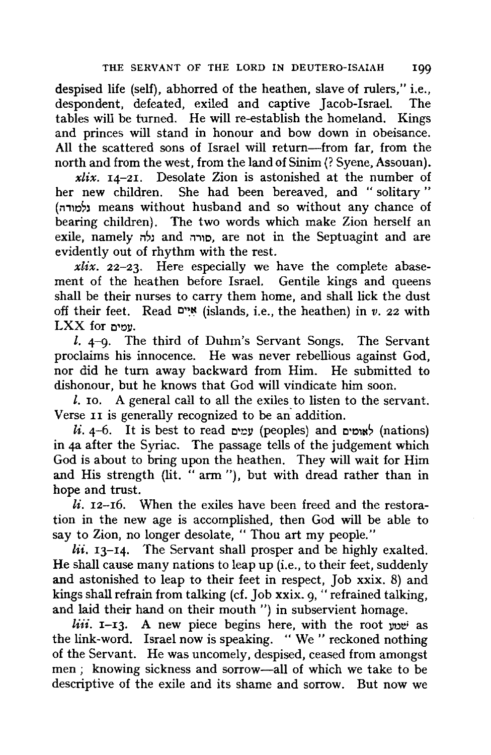despised life (self), abhorred of the heathen, slave of rulers," i.e., despondent, defeated, exiled and captive Jacob-Israel. The tables will be turned. He will re-establish the homeland. Kings and princes will stand in honour and bow down in obeisance. All the scattered sons of Israel will return-from far, from the north and from the west, from the land of Sinim (? Syene, Assouan).

*xlix.* 14-21. Desolate Zion is astonished at the number of her new children. She had been bereaved, and " solitary " (למורה) means without husband and so without any chance of bearing children). The two words which make Zion herself an exile, namely כלה and n,, are not in the Septuagint and are evidently out of rhythm with the rest.

*xlix.* 22-23. Here especially we have the complete abasement of the heathen before Israel. Gentile kings and queens shall be their nurses to carry them home, and shall lick the dust off their feet. Read **o•~t:t** (islands, i.e., the heathen) in *v.* 22 with LXX for **0•011.** 

 $l.$  4-9. The third of Duhm's Servant Songs. The Servant proclaims his innocence. He was never rebellious against God, nor did he turn away backward from Him. He submitted to dishonour, but he knows that God will vindicate him soon.

 $l$ . 10. A general call to all the exiles to listen to the servant. Verse II is generally recognized to be an addition.

 $li.$  4-6. It is best to read אומים (peoples) and אומים (nations) in 4a after the Syriac. The passage tells of the judgement which God is about to bring upon the heathen. They will wait for Him and His strength (lit. " arm "), but with dread rather than in hope and trust.

*li.* 12-16. When the exiles have been freed and the restoration in the new age is accomplished, then God will be able to say to Zion, no longer desolate, "Thou art my people."

*lii.* 13-14. The Servant shall prosper and be highly exalted. He shall cause many nations to leap up (i.e., to their feet, suddenly and astonished to leap to their feet in respect, Job xxix. 8) and kings shall refrain from talking (cf. Job xxix. 9, "refrained talking, and laid their hand on their mouth") in subservient homage.

*liii.* **I-I3.** A new piece begins here, with the root you as the link-word. Israel now is speaking. "We" reckoned nothing of the Servant. He was uncomely, despised, ceased from amongst men ; knowing sickness and sorrow-all of which we take to be descriptive of the exile and its shame and sorrow. But now we